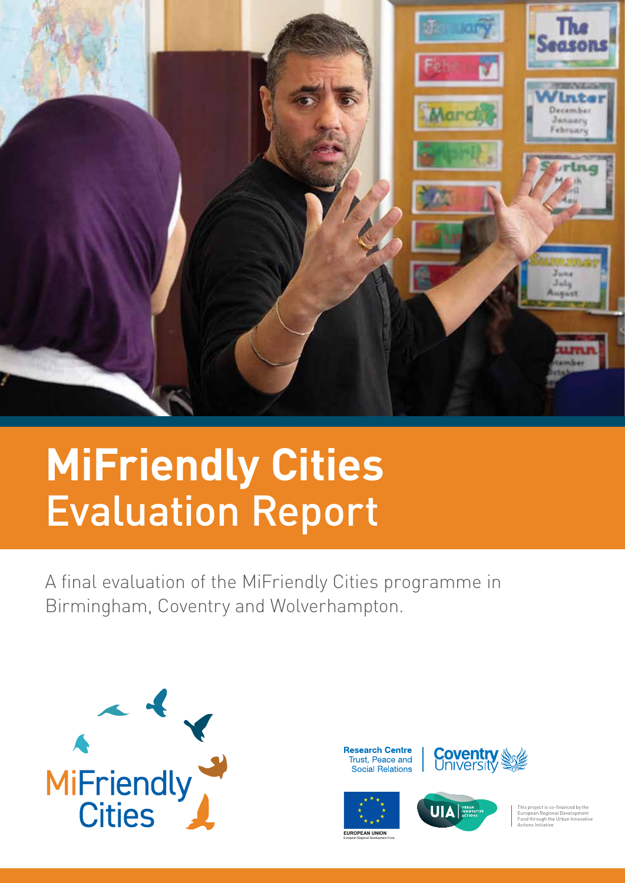

# **MiFriendly Cities** Evaluation Report

A final evaluation of the MiFriendly Cities programme in Birmingham, Coventry and Wolverhampton.



**Research Centre** Trust, Peace and Social Relations





European Regional Development Fund



This project is co-financed by the European Regional Development Fund through the Urban Innovative Actions Initiative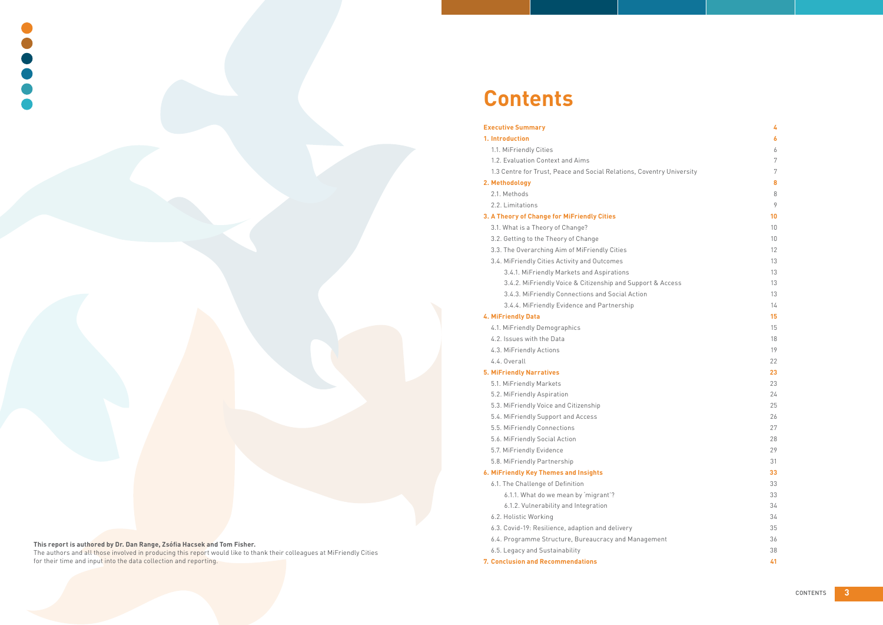CONTENTS **3**

#### **Executive Summary 4**

#### **1. Introduction 6**

- 1.1. MiFriendly Cities 6
- 1.2. Evaluation Context and Aims 7
- 1.3 Centre for Trust, Peace and Social Relations, Coventry University 7

#### **2. Methodology 8**

- 2.1. Methods
- 2.2. Limitations

#### **3. A Theory of Change for MiFriendly Cities 10**

- 3.1. What is a Theory of Change? 10
- 3.2. Getting to the Theory of Change 10 and 10 and 10 and 10 and 10 and 10 and 10 and 10 and 10 and 10 and 10 and 10 and 10 and 10 and 10 and 10 and 10 and 10 and 10 and 10 and 10 and 10 and 10 and 10 and 10 and 10 and 10
- 3.3. The Overarching Aim of MiFriendly Cities 12
- 3.4. MiFriendly Cities Activity and Outcomes 13
	- 3.4.1. MiFriendly Markets and Aspirations 13
	- 3.4.2. MiFriendly Voice & Citizenship and Support & Access 13
	- 3.4.3. MiFriendly Connections and Social Action 13
	-
	- 3.4.4. MiFriendly Evidence and Partnership 14

- 4.1. MiFriendly Demographics 15
- 4.2. Issues with the Data 18
- 4.3. MiFriendly Actions 19
- 4.4. Overall 22

- 5.1. MiFriendly Markets 23
- 5.2. MiFriendly Aspiration 24
- 5.3. MiFriendly Voice and Citizenship 25
- 5.4. MiFriendly Support and Access 26
- 5.5. MiFriendly Connections 27
- 5.6. MiFriendly Social Action 28
- 5.7. MiFriendly Evidence 29
- 5.8. MiFriendly Partnership 31

# **4. MiFriendly Data 15**

#### **5. MiFriendly Narratives 23**

#### **6. MiFriendly Key Themes and Insights 33**

- 6.1. The Challenge of Definition 33
	- 6.1.1. What do we mean by 'migrant'? 33
	- 6.1.2. Vulnerability and Integration 34
- 6.2. Holistic Working 34
- 6.3. Covid-19: Resilience, adaption and delivery 35
- 6.4. Programme Structure, Bureaucracy and Management 36
- 6.5. Legacy and Sustainability 38
- **7. Conclusion and Recommendations 41**

## **This report is authored by Dr. Dan Range, Zsófia Hacsek and Tom Fisher.**

The authors and all those involved in producing this report would like to thank their colleagues at MiFriendly Cities for their time and input into the data collection and reporting.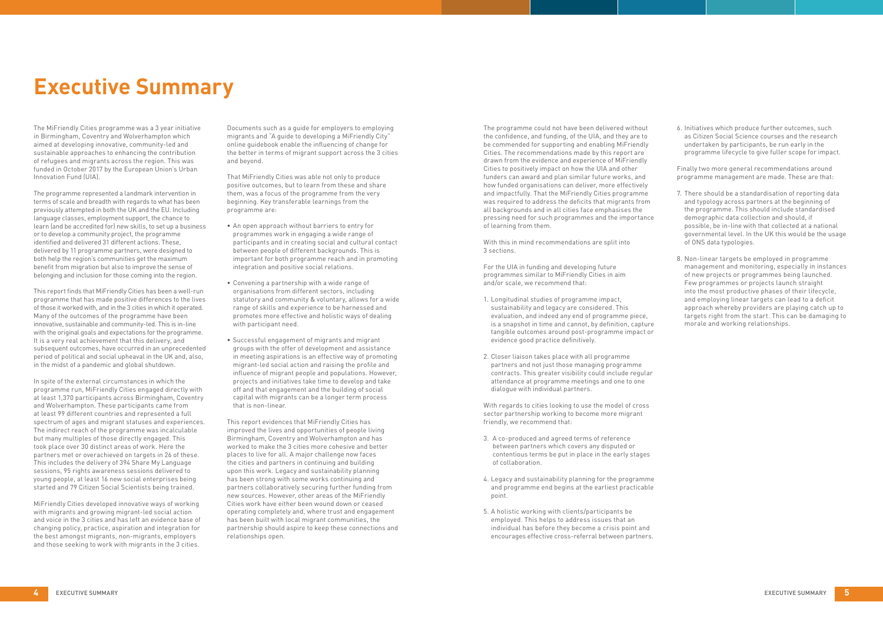The MiFriendly Cities programme was a 3 year initiative in Birmingham, Coventry and Wolverhampton which aimed at developing innovative, community-led and sustainable approaches to enhancing the contribution of refugees and migrants across the region. This was funded in October 2017 by the European Union's Urban Innovation Fund (UIA).

The programme represented a landmark intervention in terms of scale and breadth with regards to what has been previously attempted in both the UK and the EU. Including language classes, employment support, the chance to learn (and be accredited for) new skills, to set up a business or to develop a community project, the programme identified and delivered 31 different actions. These, delivered by 11 programme partners, were designed to both help the region's communities get the maximum benefit from migration but also to improve the sense of belonging and inclusion for those coming into the region.

This report finds that MiFriendly Cities has been a well-run programme that has made positive differences to the lives of those it worked with, and in the 3 cities in which it operated. Many of the outcomes of the programme have been innovative, sustainable and community-led. This is in-line with the original goals and expectations for the programme. It is a very real achievement that this delivery, and subsequent outcomes, have occurred in an unprecedented period of political and social upheaval in the UK and, also, in the midst of a pandemic and global shutdown.

In spite of the external circumstances in which the programme run, MiFriendly Cities engaged directly with at least 1,370 participants across Birmingham, Coventry and Wolverhampton. These participants came from at least 99 different countries and represented a full spectrum of ages and migrant statuses and experiences. The indirect reach of the programme was incalculable but many multiples of those directly engaged. This took place over 30 distinct areas of work. Here the partners met or overachieved on targets in 26 of these. This includes the delivery of 394 Share My Language sessions, 95 rights awareness sessions delivered to young people, at least 16 new social enterprises being started and 79 Citizen Social Scientists being trained.

MiFriendly Cities developed innovative ways of working with migrants and growing migrant-led social action and voice in the 3 cities and has left an evidence base of changing policy, practice, aspiration and integration for the best amongst migrants, non-migrants, employers and those seeking to work with migrants in the 3 cities.

Documents such as a guide for employers to employing migrants and "A guide to developing a MiFriendly City" online guidebook enable the influencing of change for the better in terms of migrant support across the 3 cities and beyond.

That MiFriendly Cities was able not only to produce positive outcomes, but to learn from these and share them, was a focus of the programme from the very beginning. Key transferable learnings from the programme are:

- • An open approach without barriers to entry for programmes work in engaging a wide range of participants and in creating social and cultural contact between people of different backgrounds. This is important for both programme reach and in promoting integration and positive social relations.
- • Convening a partnership with a wide range of organisations from different sectors, including statutory and community & voluntary, allows for a wide range of skills and experience to be harnessed and promotes more effective and holistic ways of dealing with participant need.
- • Successful engagement of migrants and migrant groups with the offer of development and assistance in meeting aspirations is an effective way of promoting migrant-led social action and raising the profile and influence of migrant people and populations. However, projects and initiatives take time to develop and take off and that engagement and the building of social capital with migrants can be a longer term process that is non-linear.

This report evidences that MiFriendly Cities has improved the lives and opportunities of people living Birmingham, Coventry and Wolverhampton and has worked to make the 3 cities more cohesive and better places to live for all. A major challenge now faces the cities and partners in continuing and building upon this work. Legacy and sustainability planning has been strong with some works continuing and partners collaboratively securing further funding from new sources. However, other areas of the MiFriendly Cities work have either been wound down or ceased operating completely and, where trust and engagement has been built with local migrant communities, the partnership should aspire to keep these connections and relationships open.

The programme could not have been delivered without the confidence, and funding, of the UIA, and they are to be commended for supporting and enabling MiFriendly Cities. The recommendations made by this report are drawn from the evidence and experience of MiFriendly Cities to positively impact on how the UIA and other funders can award and plan similar future works, and how funded organisations can deliver, more effectively and impactfully. That the MiFriendly Cities programme was required to address the deficits that migrants from all backgrounds and in all cities face emphasises the pressing need for such programmes and the importance of learning from them.

With this in mind recommendations are split into 3 sections.

For the UIA in funding and developing future programmes similar to MiFriendly Cities in aim and/or scale, we recommend that:

- 1. Longitudinal studies of programme impact, sustainability and legacy are considered. This evaluation, and indeed any end of programme piece, is a snapshot in time and cannot, by definition, capture tangible outcomes around post-programme impact or evidence good practice definitively.
- 2. Closer liaison takes place with all programme partners and not just those managing programme contracts. This greater visibility could include regular attendance at programme meetings and one to one dialogue with individual partners.

With regards to cities looking to use the model of cross sector partnership working to become more migrant friendly, we recommend that:

- 3. A co-produced and agreed terms of reference between partners which covers any disputed or contentious terms be put in place in the early stages of collaboration.
- 4. Legacy and sustainability planning for the programme and programme end begins at the earliest practicable point.
- 5. A holistic working with clients/participants be employed. This helps to address issues that an individual has before they become a crisis point and encourages effective cross-referral between partners.

6. Initiatives which produce further outcomes, such as Citizen Social Science courses and the research undertaken by participants, be run early in the programme lifecycle to give fuller scope for impact.

Finally two more general recommendations around programme management are made. These are that:

- 7. There should be a standardisation of reporting data and typology across partners at the beginning of the programme. This should include standardised demographic data collection and should, if possible, be in-line with that collected at a national governmental level. In the UK this would be the usage of ONS data typologies.
- 8. Non-linear targets be employed in programme management and monitoring, especially in instances of new projects or programmes being launched. Few programmes or projects launch straight into the most productive phases of their lifecycle, and employing linear targets can lead to a deficit approach whereby providers are playing catch up to targets right from the start. This can be damaging to morale and working relationships.

# **Executive Summary**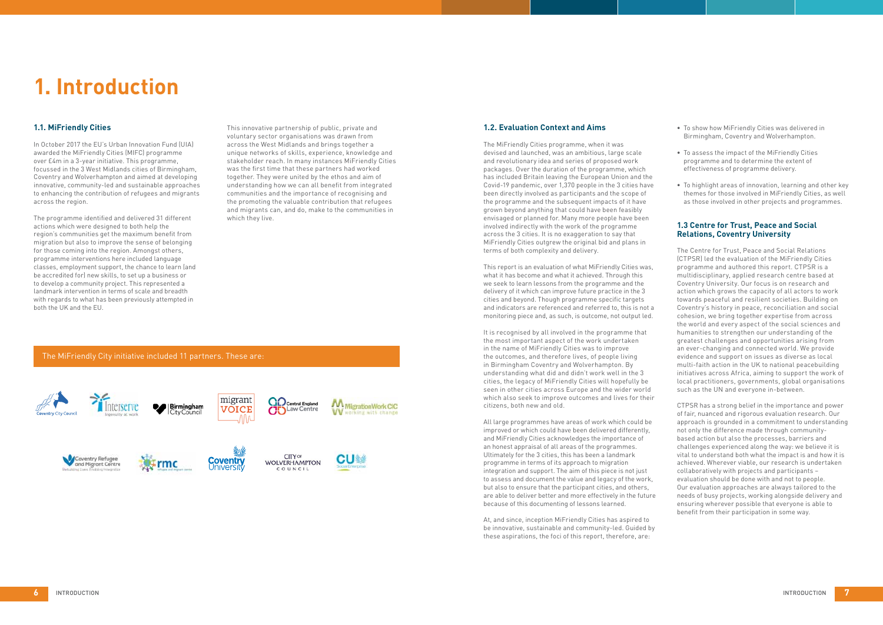# **1.1. MiFriendly Cities**

In October 2017 the EU's Urban Innovation Fund (UIA) awarded the MiFriendly Cities (MIFC) programme over £4m in a 3-year initiative. This programme, focussed in the 3 West Midlands cities of Birmingham, Coventry and Wolverhampton and aimed at developing innovative, community-led and sustainable approaches to enhancing the contribution of refugees and migrants across the region.

The programme identified and delivered 31 different actions which were designed to both help the region's communities get the maximum benefit from migration but also to improve the sense of belonging for those coming into the region. Amongst others, programme interventions here included language classes, employment support, the chance to learn (and be accredited for) new skills, to set up a business or to develop a community project. This represented a landmark intervention in terms of scale and breadth with regards to what has been previously attempted in both the UK and the EU.

This innovative partnership of public, private and voluntary sector organisations was drawn from across the West Midlands and brings together a unique networks of skills, experience, knowledge and stakeholder reach. In many instances MiFriendly Cities was the first time that these partners had worked together. They were united by the ethos and aim of understanding how we can all benefit from integrated communities and the importance of recognising and the promoting the valuable contribution that refugees and migrants can, and do, make to the communities in which they live.

# **1.2. Evaluation Context and Aims**

The MiFriendly Cities programme, when it was devised and launched, was an ambitious, large scale and revolutionary idea and series of proposed work packages. Over the duration of the programme, which has included Britain leaving the European Union and the Covid-19 pandemic, over 1,370 people in the 3 cities have been directly involved as participants and the scope of the programme and the subsequent impacts of it have grown beyond anything that could have been feasibly envisaged or planned for. Many more people have been involved indirectly with the work of the programme across the 3 cities. It is no exaggeration to say that MiFriendly Cities outgrew the original bid and plans in terms of both complexity and delivery.

- To show how MiFriendly Cities was delivered in Birmingham, Coventry and Wolverhampton.
- To assess the impact of the MiFriendly Cities programme and to determine the extent of effectiveness of programme delivery.
- To highlight areas of innovation, learning and other key themes for those involved in MiFriendly Cities, as well as those involved in other projects and programmes.

This report is an evaluation of what MiFriendly Cities was, what it has become and what it achieved. Through this we seek to learn lessons from the programme and the delivery of it which can improve future practice in the 3 cities and beyond. Though programme specific targets and indicators are referenced and referred to, this is not a monitoring piece and, as such, is outcome, not output led.

It is recognised by all involved in the programme that the most important aspect of the work undertaken in the name of MiFriendly Cities was to improve the outcomes, and therefore lives, of people living in Birmingham Coventry and Wolverhampton. By understanding what did and didn't work well in the 3 cities, the legacy of MiFriendly Cities will hopefully be seen in other cities across Europe and the wider world which also seek to improve outcomes and lives for their citizens, both new and old.

All large programmes have areas of work which could be improved or which could have been delivered differently, and MiFriendly Cities acknowledges the importance of an honest appraisal of all areas of the programmes. Ultimately for the 3 cities, this has been a landmark programme in terms of its approach to migration integration and support. The aim of this piece is not just to assess and document the value and legacy of the work, but also to ensure that the participant cities, and others, are able to deliver better and more effectively in the future because of this documenting of lessons learned.

At, and since, inception MiFriendly Cities has aspired to be innovative, sustainable and community-led. Guided by these aspirations, the foci of this report, therefore, are:

### **1.3 Centre for Trust, Peace and Social Relations, Coventry University**

The Centre for Trust, Peace and Social Relations (CTPSR) led the evaluation of the MiFriendly Cities programme and authored this report. CTPSR is a multidisciplinary, applied research centre based at Coventry University. Our focus is on research and action which grows the capacity of all actors to work towards peaceful and resilient societies. Building on Coventry's history in peace, reconciliation and social cohesion, we bring together expertise from across the world and every aspect of the social sciences and humanities to strengthen our understanding of the greatest challenges and opportunities arising from an ever-changing and connected world. We provide evidence and support on issues as diverse as local multi-faith action in the UK to national peacebuilding initiatives across Africa, aiming to support the work of local practitioners, governments, global organisations such as the UN and everyone in-between.

CTPSR has a strong belief in the importance and power of fair, nuanced and rigorous evaluation research. Our approach is grounded in a commitment to understanding not only the difference made through communitybased action but also the processes, barriers and challenges experienced along the way: we believe it is vital to understand both what the impact is and how it is achieved. Wherever viable, our research is undertaken collaboratively with projects and participants – evaluation should be done with and not to people. Our evaluation approaches are always tailored to the needs of busy projects, working alongside delivery and ensuring wherever possible that everyone is able to benefit from their participation in some way.

# **1. Introduction**

## The MiFriendly City initiative included 11 partners. These are:

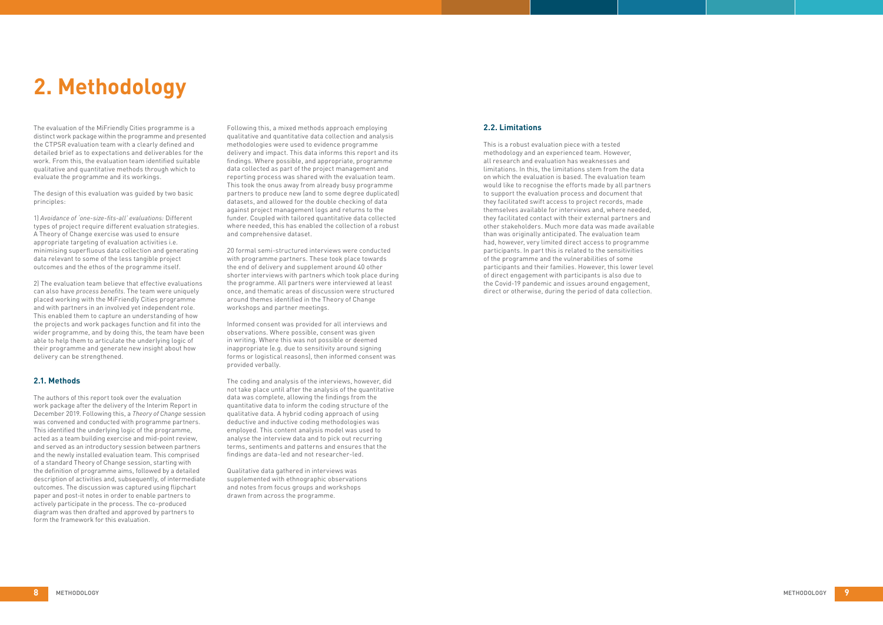The evaluation of the MiFriendly Cities programme is a distinct work package within the programme and presented the CTPSR evaluation team with a clearly defined and detailed brief as to expectations and deliverables for the work. From this, the evaluation team identified suitable qualitative and quantitative methods through which to evaluate the programme and its workings.

The design of this evaluation was guided by two basic principles:

1) *Avoidance of 'one-size-fits-all' evaluations:* Different types of project require different evaluation strategies. A Theory of Change exercise was used to ensure appropriate targeting of evaluation activities i.e. minimising superfluous data collection and generating data relevant to some of the less tangible project outcomes and the ethos of the programme itself.

2) The evaluation team believe that effective evaluations can also have *process benefits*. The team were uniquely placed working with the MiFriendly Cities programme and with partners in an involved yet independent role. This enabled them to capture an understanding of how the projects and work packages function and fit into the wider programme, and by doing this, the team have been able to help them to articulate the underlying logic of their programme and generate new insight about how delivery can be strengthened.

### **2.1. Methods**

The authors of this report took over the evaluation work package after the delivery of the Interim Report in December 2019. Following this, a *Theory of Change* session was convened and conducted with programme partners. This identified the underlying logic of the programme, acted as a team building exercise and mid-point review, and served as an introductory session between partners and the newly installed evaluation team. This comprised of a standard Theory of Change session, starting with the definition of programme aims, followed by a detailed description of activities and, subsequently, of intermediate outcomes. The discussion was captured using flipchart paper and post-it notes in order to enable partners to actively participate in the process. The co-produced diagram was then drafted and approved by partners to form the framework for this evaluation.

Following this, a mixed methods approach employing qualitative and quantitative data collection and analysis methodologies were used to evidence programme delivery and impact. This data informs this report and its findings. Where possible, and appropriate, programme data collected as part of the project management and reporting process was shared with the evaluation team. This took the onus away from already busy programme partners to produce new (and to some degree duplicated) datasets, and allowed for the double checking of data against project management logs and returns to the funder. Coupled with tailored quantitative data collected where needed, this has enabled the collection of a robust and comprehensive dataset.

20 formal semi-structured interviews were conducted with programme partners. These took place towards the end of delivery and supplement around 40 other shorter interviews with partners which took place during the programme. All partners were interviewed at least once, and thematic areas of discussion were structured around themes identified in the Theory of Change workshops and partner meetings.

Informed consent was provided for all interviews and observations. Where possible, consent was given in writing. Where this was not possible or deemed inappropriate (e.g. due to sensitivity around signing forms or logistical reasons), then informed consent was provided verbally.

The coding and analysis of the interviews, however, did not take place until after the analysis of the quantitative data was complete, allowing the findings from the quantitative data to inform the coding structure of the qualitative data. A hybrid coding approach of using deductive and inductive coding methodologies was employed. This content analysis model was used to analyse the interview data and to pick out recurring terms, sentiments and patterns and ensures that the findings are data-led and not researcher-led.

Qualitative data gathered in interviews was supplemented with ethnographic observations and notes from focus groups and workshops drawn from across the programme.

# **2.2. Limitations**

This is a robust evaluation piece with a tested methodology and an experienced team. However, all research and evaluation has weaknesses and limitations. In this, the limitations stem from the data on which the evaluation is based. The evaluation team would like to recognise the efforts made by all partners to support the evaluation process and document that they facilitated swift access to project records, made themselves available for interviews and, where needed, they facilitated contact with their external partners and other stakeholders. Much more data was made available than was originally anticipated. The evaluation team had, however, very limited direct access to programme participants. In part this is related to the sensitivities of the programme and the vulnerabilities of some participants and their families. However, this lower level of direct engagement with participants is also due to the Covid-19 pandemic and issues around engagement, direct or otherwise, during the period of data collection.

# **2. Methodology**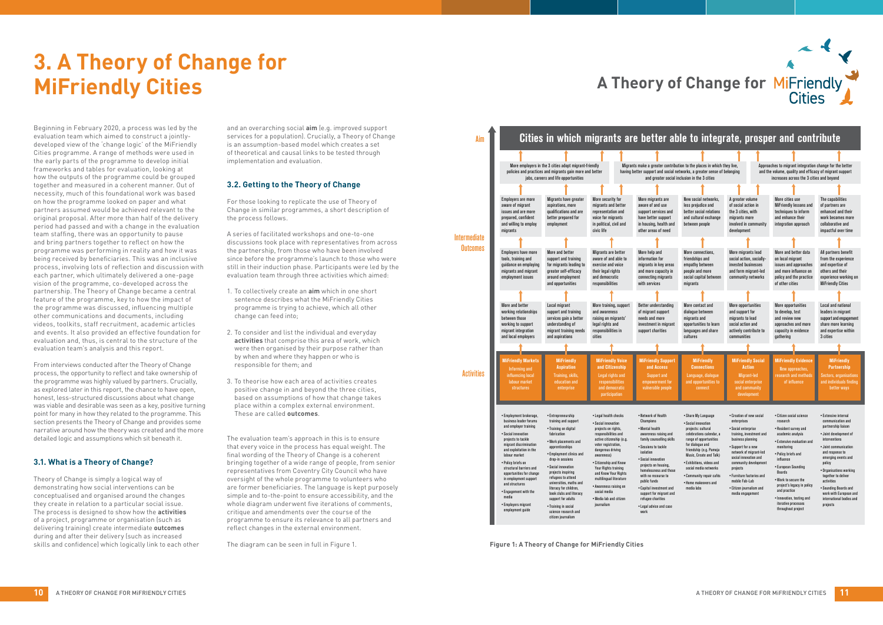Beginning in February 2020, a process was led by the evaluation team which aimed to construct a jointlydeveloped view of the 'change logic' of the MiFriendly Cities programme. A range of methods were used in the early parts of the programme to develop initial frameworks and tables for evaluation, looking at how the outputs of the programme could be grouped together and measured in a coherent manner. Out of necessity, much of this foundational work was based on how the programme looked on paper and what partners assumed would be achieved relevant to the original proposal. After more than half of the delivery period had passed and with a change in the evaluation team staffing, there was an opportunity to pause and bring partners together to reflect on how the programme was performing in reality and how it was being received by beneficiaries. This was an inclusive process, involving lots of reflection and discussion with each partner, which ultimately delivered a one-page vision of the programme, co-developed across the partnership. The Theory of Change became a central feature of the programme, key to how the impact of the programme was discussed, influencing multiple other communications and documents, including videos, toolkits, staff recruitment, academic articles and events. It also provided an effective foundation for evaluation and, thus, is central to the structure of the evaluation team's analysis and this report.

From interviews conducted after the Theory of Change process, the opportunity to reflect and take ownership of the programme was highly valued by partners. Crucially, as explored later in this report, the chance to have open, honest, less-structured discussions about what change was viable and desirable was seen as a key, positive turning point for many in how they related to the programme. This section presents the Theory of Change and provides some narrative around how the theory was created and the more detailed logic and assumptions which sit beneath it.

# **3.1. What is a Theory of Change?**

# **3. A Theory of Change for MiFriendly Cities A Theory of Change for MiFriendly**

Theory of Change is simply a logical way of demonstrating how social interventions can be conceptualised and organised around the changes they create in relation to a particular social issue. The process is designed to show how the **activities** of a project, programme or organisation (such as delivering training) create intermediate **outcomes** during and after their delivery (such as increased skills and confidence) which logically link to each other and an overarching social **aim** (e.g. improved support services for a population). Crucially, a Theory of Change is an assumption-based model which creates a set of theoretical and causal links to be tested through implementation and evaluation.

# **3.2. Getting to the Theory of Change**

For those looking to replicate the use of Theory of Change in similar programmes, a short description of the process follows.

A series of facilitated workshops and one-to-one discussions took place with representatives from across the partnership, from those who have been involved since before the programme's launch to those who were still in their induction phase. Participants were led by the evaluation team through three activities which aimed:

- 1. To collectively create an **aim** which in one short sentence describes what the MiFriendly Cities programme is trying to achieve, which all other change can feed into;
- 2. To consider and list the individual and everyday **activities** that comprise this area of work, which were then organised by their purpose rather than by when and where they happen or who is responsible for them; and
- 3. To theorise how each area of activities creates positive change in and beyond the three cities, based on assumptions of how that change takes place within a complex external environment. These are called **outcomes**.

The evaluation team's approach in this is to ensure that every voice in the process has equal weight. The final wording of the Theory of Change is a coherent bringing together of a wide range of people, from senior representatives from Coventry City Council who have oversight of the whole programme to volunteers who are former beneficiaries. The language is kept purposely simple and to-the-point to ensure accessibility, and the whole diagram underwent five iterations of comments, critique and amendments over the course of the programme to ensure its relevance to all partners and reflect changes in the external environment.

The diagram can be seen in full in Figure 1.

| Aim               |                                                                                                                                                                                                                                                                                                                                                                                                    | Cities in which migrants are better al                                                                                                                                                                                                                                                                                                                                                                                        |                                                                                                                                                                                                                                                                                                                                                                           |                                                                                                                                                                                                                                                                                                                                                                               |
|-------------------|----------------------------------------------------------------------------------------------------------------------------------------------------------------------------------------------------------------------------------------------------------------------------------------------------------------------------------------------------------------------------------------------------|-------------------------------------------------------------------------------------------------------------------------------------------------------------------------------------------------------------------------------------------------------------------------------------------------------------------------------------------------------------------------------------------------------------------------------|---------------------------------------------------------------------------------------------------------------------------------------------------------------------------------------------------------------------------------------------------------------------------------------------------------------------------------------------------------------------------|-------------------------------------------------------------------------------------------------------------------------------------------------------------------------------------------------------------------------------------------------------------------------------------------------------------------------------------------------------------------------------|
|                   |                                                                                                                                                                                                                                                                                                                                                                                                    |                                                                                                                                                                                                                                                                                                                                                                                                                               |                                                                                                                                                                                                                                                                                                                                                                           |                                                                                                                                                                                                                                                                                                                                                                               |
|                   |                                                                                                                                                                                                                                                                                                                                                                                                    | More employers in the 3 cities adopt migrant-friendly<br>policies and practices and migrants gain more and better<br>jobs, careers and life opportunities                                                                                                                                                                                                                                                                     |                                                                                                                                                                                                                                                                                                                                                                           | Migrants make a greater contrib<br>having better support and social r<br>and greater social                                                                                                                                                                                                                                                                                   |
|                   |                                                                                                                                                                                                                                                                                                                                                                                                    |                                                                                                                                                                                                                                                                                                                                                                                                                               |                                                                                                                                                                                                                                                                                                                                                                           |                                                                                                                                                                                                                                                                                                                                                                               |
|                   | <b>Employers are more</b><br>aware of migrant<br>issues and are more<br>prepared, confident<br>and willing to employ<br>migrants                                                                                                                                                                                                                                                                   | Migrants have greater<br>aspirations, more<br>qualifications and are<br>better prepared for<br>employment                                                                                                                                                                                                                                                                                                                     | More security for<br>migrants and better<br>representation and<br>voice for migrants<br>in political, civil and<br>civic life                                                                                                                                                                                                                                             | More migrants are<br>aware of and use<br>support services and<br>have better support<br>in housing, health and<br>other areas of need                                                                                                                                                                                                                                         |
| Intermediate      |                                                                                                                                                                                                                                                                                                                                                                                                    |                                                                                                                                                                                                                                                                                                                                                                                                                               |                                                                                                                                                                                                                                                                                                                                                                           |                                                                                                                                                                                                                                                                                                                                                                               |
| <b>Outcomes</b>   | <b>Employers have more</b><br>tools, training and<br>guidance on employing<br>migrants and migrant<br>employment issues                                                                                                                                                                                                                                                                            | More and better<br>support and training<br>for migrants leading to<br>greater self-efficacy<br>around employment<br>and opportunities                                                                                                                                                                                                                                                                                         | Migrants are better<br>aware of and able to<br>exercise and voice<br>their legal rights<br>and democratic<br>responsibilities                                                                                                                                                                                                                                             | More help and<br>information for<br>migrants in key areas<br>and more capacity in<br>connecting migrants<br>with services                                                                                                                                                                                                                                                     |
|                   |                                                                                                                                                                                                                                                                                                                                                                                                    |                                                                                                                                                                                                                                                                                                                                                                                                                               |                                                                                                                                                                                                                                                                                                                                                                           |                                                                                                                                                                                                                                                                                                                                                                               |
|                   | More and better<br>working relationships<br>between those<br>working to support<br>migrant integration<br>and local employers                                                                                                                                                                                                                                                                      | Local migrant<br>support and training<br>services gain a better<br>understanding of<br>migrant training needs<br>and aspirations                                                                                                                                                                                                                                                                                              | More training, support<br>and awareness<br>raising on migrants'<br>legal rights and<br>responsibilities in<br>cities                                                                                                                                                                                                                                                      | Better understanding<br>of migrant support<br>needs and more<br>investment in migrant<br>support charities                                                                                                                                                                                                                                                                    |
|                   |                                                                                                                                                                                                                                                                                                                                                                                                    |                                                                                                                                                                                                                                                                                                                                                                                                                               |                                                                                                                                                                                                                                                                                                                                                                           |                                                                                                                                                                                                                                                                                                                                                                               |
| <b>Activities</b> | <b>MiFriendly Markets</b><br>Informing and<br>influencing local<br>labour market<br>structures                                                                                                                                                                                                                                                                                                     | <b>MiFriendly</b><br><b>Aspiration</b><br>Training, skills,<br>education and<br>enterprise                                                                                                                                                                                                                                                                                                                                    | <b>MiFriendly Voice</b><br>and Citizenship<br>Legal rights and<br>responsibilities<br>and democratic<br>participation                                                                                                                                                                                                                                                     | <b>MiFriendly Support</b><br>and Access<br><b>Support and</b><br>empowerment for<br>vulnerable people                                                                                                                                                                                                                                                                         |
|                   | • Employment brokerage,<br>business leader forums<br>and employer training<br>• Social innovation<br>projects to tackle<br>migrant discrimination<br>and exploitation in the<br>labour market<br>• Policy briefs on<br>structural barriers and<br>opportunities for change<br>in employment support<br>and structures<br>• Engagement with the<br>media<br>• Employers migrant<br>employment guide | • Entrepreneurship<br>training and support<br>• Training on digital<br>fabrication<br>• Work placements and<br>apprenticeships<br>• Employment clinics and<br>drop-in sessions<br>· Social innovation<br>projects inspiring<br>refugees to attend<br>universities, maths and<br>literacy for children,<br>book clubs and literacy<br>support for adults<br>• Training in social<br>science research and<br>citizen journalism | • Legal health checks<br>• Social innovation<br>projects on rights,<br>responsibilities and<br>active citizenship (e.g.<br>voter registration,<br>dangerous driving<br>awareness)<br>• Citizenship and Know<br>Your Rights training<br>and Know Your Rights<br>multilingual literature<br>• Awareness raising on<br>social media<br>• Media lab and citizen<br>journalism | • Network of Health<br>Champions<br>• Mental health<br>awareness raising and<br>family counselling skills<br>• Sessions to tackle<br>isolation<br>• Social innovation<br>projects on housing,<br>homelessness and those<br>with no recourse to<br>public funds<br>• Capital investment and<br>support for migrant and<br>refugee charities<br>• Legal advice and case<br>work |



throughout project

**Figure 1: A Theory of Change for MiFriendly Cities**

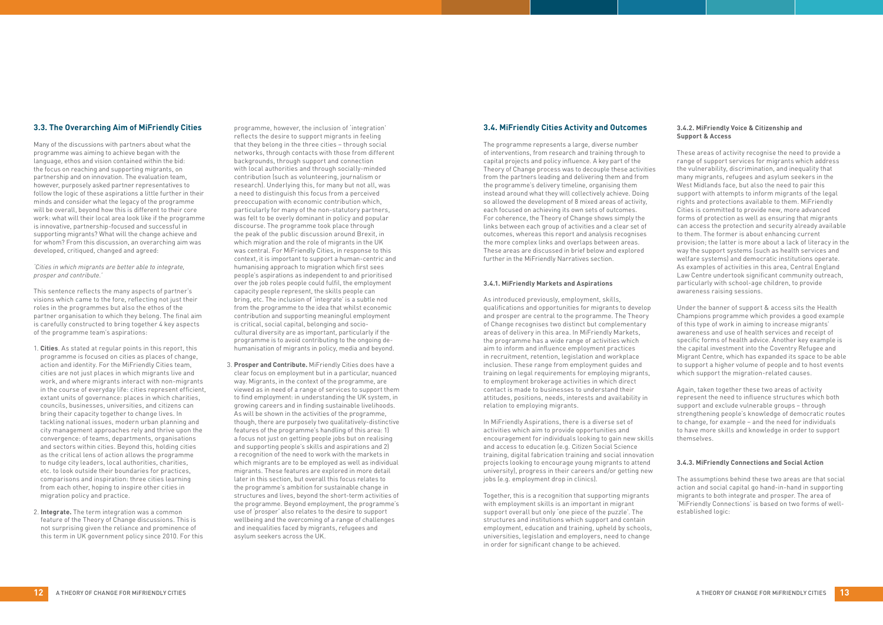# **3.3. The Overarching Aim of MiFriendly Cities**

Many of the discussions with partners about what the programme was aiming to achieve began with the language, ethos and vision contained within the bid: the focus on reaching and supporting migrants, on partnership and on innovation. The evaluation team, however, purposely asked partner representatives to follow the logic of these aspirations a little further in their minds and consider what the legacy of the programme will be overall, beyond how this is different to their core work: what will their local area look like if the programme is innovative, partnership-focused and successful in supporting migrants? What will the change achieve and for whom? From this discussion, an overarching aim was developed, critiqued, changed and agreed:

*'Cities in which migrants are better able to integrate, prosper and contribute.'*

This sentence reflects the many aspects of partner's visions which came to the fore, reflecting not just their roles in the programmes but also the ethos of the partner organisation to which they belong. The final aim is carefully constructed to bring together 4 key aspects of the programme team's aspirations:

- 1. **Cities**. As stated at regular points in this report, this programme is focused on cities as places of change, action and identity. For the MiFriendly Cities team, cities are not just places in which migrants live and work, and where migrants interact with non-migrants in the course of everyday life: cities represent efficient, extant units of governance: places in which charities, councils, businesses, universities, and citizens can bring their capacity together to change lives. In tackling national issues, modern urban planning and city management approaches rely and thrive upon the convergence: of teams, departments, organisations and sectors within cities. Beyond this, holding cities as the critical lens of action allows the programme to nudge city leaders, local authorities, charities, etc. to look outside their boundaries for practices, comparisons and inspiration: three cities learning from each other, hoping to inspire other cities in migration policy and practice.
- 2. **Integrate.** The term integration was a common feature of the Theory of Change discussions. This is not surprising given the reliance and prominence of this term in UK government policy since 2010. For this

programme, however, the inclusion of 'integration' reflects the desire to support migrants in feeling that they belong in the three cities – through social networks, through contacts with those from different backgrounds, through support and connection with local authorities and through socially-minded contribution (such as volunteering, journalism or research). Underlying this, for many but not all, was a need to distinguish this focus from a perceived preoccupation with economic contribution which, particularly for many of the non-statutory partners, was felt to be overly dominant in policy and popular discourse. The programme took place through the peak of the public discussion around Brexit, in which migration and the role of migrants in the UK was central. For MiFriendly Cities, in response to this context, it is important to support a human-centric and humanising approach to migration which first sees people's aspirations as independent to and prioritised over the job roles people could fulfil, the employment capacity people represent, the skills people can bring, etc. The inclusion of 'integrate' is a subtle nod from the programme to the idea that whilst economic contribution and supporting meaningful employment is critical, social capital, belonging and sociocultural diversity are as important, particularly if the programme is to avoid contributing to the ongoing dehumanisation of migrants in policy, media and beyond.

3. **Prosper and Contribute.** MiFriendly Cities does have a clear focus on employment but in a particular, nuanced way. Migrants, in the context of the programme, are viewed as in need of a range of services to support them to find employment: in understanding the UK system, in growing careers and in finding sustainable livelihoods. As will be shown in the activities of the programme, though, there are purposely two qualitatively-distinctive features of the programme's handling of this area: 1) a focus not just on getting people jobs but on realising and supporting people's skills and aspirations and 2) a recognition of the need to work with the markets in which migrants are to be employed as well as individual migrants. These features are explored in more detail later in this section, but overall this focus relates to the programme's ambition for sustainable change in structures and lives, beyond the short-term activities of the programme. Beyond employment, the programme's use of 'prosper' also relates to the desire to support wellbeing and the overcoming of a range of challenges and inequalities faced by migrants, refugees and asylum seekers across the UK.

# **3.4. MiFriendly Cities Activity and Outcomes**

The programme represents a large, diverse number of interventions, from research and training through to capital projects and policy influence. A key part of the Theory of Change process was to decouple these activities from the partners leading and delivering them and from the programme's delivery timeline, organising them instead around what they will collectively achieve. Doing so allowed the development of 8 mixed areas of activity, each focused on achieving its own sets of outcomes. For coherence, the Theory of Change shows simply the links between each group of activities and a clear set of outcomes, whereas this report and analysis recognises the more complex links and overlaps between areas. These areas are discussed in brief below and explored further in the MiFriendly Narratives section.

#### **3.4.1. MiFriendly Markets and Aspirations**

As introduced previously, employment, skills, qualifications and opportunities for migrants to develop and prosper are central to the programme. The Theory of Change recognises two distinct but complementary areas of delivery in this area. In MiFriendly Markets, the programme has a wide range of activities which aim to inform and influence employment practices in recruitment, retention, legislation and workplace inclusion. These range from employment guides and training on legal requirements for employing migrants, to employment brokerage activities in which direct contact is made to businesses to understand their attitudes, positions, needs, interests and availability in relation to employing migrants.

In MiFriendly Aspirations, there is a diverse set of activities which aim to provide opportunities and encouragement for individuals looking to gain new skills and access to education (e.g. Citizen Social Science training, digital fabrication training and social innovation projects looking to encourage young migrants to attend university), progress in their careers and/or getting new jobs (e.g. employment drop in clinics).

Together, this is a recognition that supporting migrants with employment skills is an important in migrant support overall but only 'one piece of the puzzle'. The structures and institutions which support and contain employment, education and training, upheld by schools, universities, legislation and employers, need to change in order for significant change to be achieved.

#### **3.4.2. MiFriendly Voice & Citizenship and Support & Access**

These areas of activity recognise the need to provide a range of support services for migrants which address the vulnerability, discrimination, and inequality that many migrants, refugees and asylum seekers in the West Midlands face, but also the need to pair this support with attempts to inform migrants of the legal rights and protections available to them. MiFriendly Cities is committed to provide new, more advanced forms of protection as well as ensuring that migrants can access the protection and security already available to them. The former is about enhancing current provision; the latter is more about a lack of literacy in the way the support systems (such as health services and welfare systems) and democratic institutions operate. As examples of activities in this area, Central England Law Centre undertook significant community outreach, particularly with school-age children, to provide awareness raising sessions.

Under the banner of support & access sits the Health Champions programme which provides a good example of this type of work in aiming to increase migrants' awareness and use of health services and receipt of specific forms of health advice. Another key example is the capital investment into the Coventry Refugee and Migrant Centre, which has expanded its space to be able to support a higher volume of people and to host events which support the migration-related causes.

Again, taken together these two areas of activity represent the need to influence structures which both support and exclude vulnerable groups – through strengthening people's knowledge of democratic routes to change, for example – and the need for individuals to have more skills and knowledge in order to support themselves.

#### **3.4.3. MiFriendly Connections and Social Action**

The assumptions behind these two areas are that social action and social capital go hand-in-hand in supporting migrants to both integrate and prosper. The area of 'MiFriendly Connections' is based on two forms of wellestablished logic: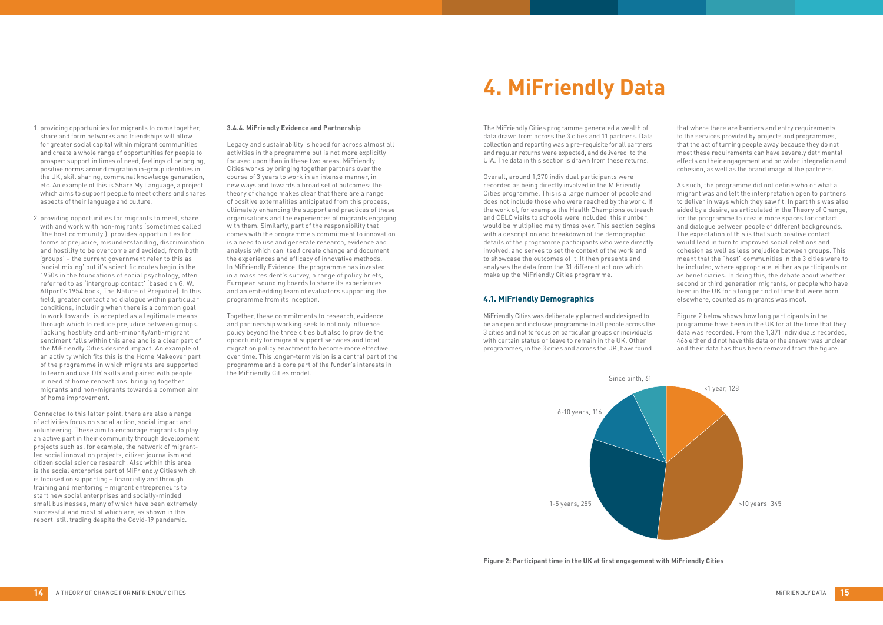- 1. providing opportunities for migrants to come together, share and form networks and friendships will allow for greater social capital within migrant communities and create a whole range of opportunities for people to prosper: support in times of need, feelings of belonging, positive norms around migration in-group identities in the UK, skill sharing, communal knowledge generation, etc. An example of this is Share My Language, a project which aims to support people to meet others and shares aspects of their language and culture.
- 2. providing opportunities for migrants to meet, share with and work with non-migrants (sometimes called 'the host community'), provides opportunities for forms of prejudice, misunderstanding, discrimination and hostility to be overcome and avoided, from both 'groups' – the current government refer to this as 'social mixing' but it's scientific routes begin in the 1950s in the foundations of social psychology, often referred to as 'intergroup contact' (based on G. W. Allport's 1954 book, The Nature of Prejudice). In this field, greater contact and dialogue within particular conditions, including when there is a common goal to work towards, is accepted as a legitimate means through which to reduce prejudice between groups. Tackling hostility and anti-minority/anti-migrant sentiment falls within this area and is a clear part of the MiFriendly Cities desired impact. An example of an activity which fits this is the Home Makeover part of the programme in which migrants are supported to learn and use DIY skills and paired with people in need of home renovations, bringing together migrants and non-migrants towards a common aim of home improvement.

Connected to this latter point, there are also a range of activities focus on social action, social impact and volunteering. These aim to encourage migrants to play an active part in their community through development projects such as, for example, the network of migrantled social innovation projects, citizen journalism and citizen social science research. Also within this area is the social enterprise part of MiFriendly Cities which is focused on supporting – financially and through training and mentoring – migrant entrepreneurs to start new social enterprises and socially-minded small businesses, many of which have been extremely successful and most of which are, as shown in this report, still trading despite the Covid-19 pandemic.

#### **3.4.4. MiFriendly Evidence and Partnership**

Legacy and sustainability is hoped for across almost all activities in the programme but is not more explicitly focused upon than in these two areas. MiFriendly Cities works by bringing together partners over the course of 3 years to work in an intense manner, in new ways and towards a broad set of outcomes: the theory of change makes clear that there are a range of positive externalities anticipated from this process, ultimately enhancing the support and practices of these organisations and the experiences of migrants engaging with them. Similarly, part of the responsibility that comes with the programme's commitment to innovation is a need to use and generate research, evidence and analysis which can itself create change and document the experiences and efficacy of innovative methods. In MiFriendly Evidence, the programme has invested in a mass resident's survey, a range of policy briefs, European sounding boards to share its experiences and an embedding team of evaluators supporting the programme from its inception.

Together, these commitments to research, evidence and partnership working seek to not only influence policy beyond the three cities but also to provide the opportunity for migrant support services and local migration policy enactment to become more effective over time. This longer-term vision is a central part of the programme and a core part of the funder's interests in the MiFriendly Cities model.

The MiFriendly Cities programme generated a wealth of data drawn from across the 3 cities and 11 partners. Data collection and reporting was a pre-requisite for all partners and regular returns were expected, and delivered, to the UIA. The data in this section is drawn from these returns.

Overall, around 1,370 individual participants were recorded as being directly involved in the MiFriendly Cities programme. This is a large number of people and does not include those who were reached by the work. If the work of, for example the Health Champions outreach and CELC visits to schools were included, this number would be multiplied many times over. This section begins with a description and breakdown of the demographic details of the programme participants who were directly involved, and serves to set the context of the work and to showcase the outcomes of it. It then presents and analyses the data from the 31 different actions which make up the MiFriendly Cities programme.

#### **4.1. MiFriendly Demographics**

MiFriendly Cities was deliberately planned and designed to be an open and inclusive programme to all people across the 3 cities and not to focus on particular groups or individuals with certain status or leave to remain in the UK. Other programmes, in the 3 cities and across the UK, have found

that where there are barriers and entry requirements to the services provided by projects and programmes, that the act of turning people away because they do not meet these requirements can have severely detrimental effects on their engagement and on wider integration and cohesion, as well as the brand image of the partners.

As such, the programme did not define who or what a migrant was and left the interpretation open to partners to deliver in ways which they saw fit. In part this was also aided by a desire, as articulated in the Theory of Change, for the programme to create more spaces for contact and dialogue between people of different backgrounds. The expectation of this is that such positive contact would lead in turn to improved social relations and cohesion as well as less prejudice between groups. This meant that the "host" communities in the 3 cities were to be included, where appropriate, either as participants or as beneficiaries. In doing this, the debate about whether second or third generation migrants, or people who have been in the UK for a long period of time but were born elsewhere, counted as migrants was moot.

Figure 2 below shows how long participants in the programme have been in the UK for at the time that they data was recorded. From the 1,371 individuals recorded, 466 either did not have this data or the answer was unclear and their data has thus been removed from the figure.

# **4. MiFriendly Data**



**Figure 2: Participant time in the UK at first engagement with MiFriendly Cities**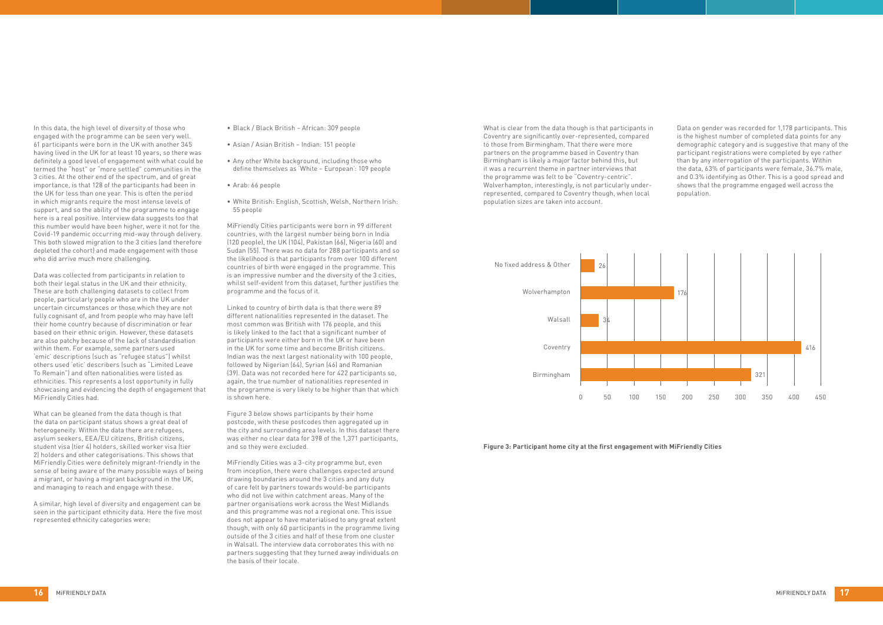In this data, the high level of diversity of those who engaged with the programme can be seen very well. 61 participants were born in the UK with another 345 having lived in the UK for at least 10 years, so there was definitely a good level of engagement with what could be termed the "host" or "more settled" communities in the 3 cities. At the other end of the spectrum, and of great importance, is that 128 of the participants had been in the UK for less than one year. This is often the period in which migrants require the most intense levels of support, and so the ability of the programme to engage here is a real positive. Interview data suggests too that this number would have been higher, were it not for the Covid-19 pandemic occurring mid-way through delivery. This both slowed migration to the 3 cities (and therefore depleted the cohort) and made engagement with those who did arrive much more challenging.

Data was collected from participants in relation to both their legal status in the UK and their ethnicity. These are both challenging datasets to collect from people, particularly people who are in the UK under uncertain circumstances or those which they are not fully cognisant of, and from people who may have left their home country because of discrimination or fear based on their ethnic origin. However, these datasets are also patchy because of the lack of standardisation within them. For example, some partners used 'emic' descriptions (such as "refugee status") whilst others used 'etic' describers (such as "Limited Leave To Remain") and often nationalities were listed as ethnicities. This represents a lost opportunity in fully showcasing and evidencing the depth of engagement that MiFriendly Cities had.

What can be gleaned from the data though is that the data on participant status shows a great deal of heterogeneity. Within the data there are refugees, asylum seekers, EEA/EU citizens, British citizens, student visa (tier 4) holders, skilled worker visa (tier 2) holders and other categorisations. This shows that MiFriendly Cities were definitely migrant-friendly in the sense of being aware of the many possible ways of being a migrant, or having a migrant background in the UK, and managing to reach and engage with these.

A similar, high level of diversity and engagement can be seen in the participant ethnicity data. Here the five most represented ethnicity categories were:

- • Black / Black British African: 309 people
- • Asian / Asian British Indian: 151 people
- Any other White background, including those who define themselves as 'White – European': 109 people
- • Arab: 66 people
- • White British: English, Scottish, Welsh, Northern Irish: 55 people

MiFriendly Cities participants were born in 99 different countries, with the largest number being born in India (120 people), the UK (104), Pakistan (66), Nigeria (60) and Sudan (55). There was no data for 288 participants and so the likelihood is that participants from over 100 different countries of birth were engaged in the programme. This is an impressive number and the diversity of the 3 cities, whilst self-evident from this dataset, further justifies the programme and the focus of it.

Linked to country of birth data is that there were 89 different nationalities represented in the dataset. The most common was British with 176 people, and this is likely linked to the fact that a significant number of participants were either born in the UK or have been in the UK for some time and become British citizens. Indian was the next largest nationality with 100 people, followed by Nigerian (64), Syrian (46) and Romanian (39). Data was not recorded here for 422 participants so, again, the true number of nationalities represented in the programme is very likely to be higher than that which is shown here.

Figure 3 below shows participants by their home postcode, with these postcodes then aggregated up in the city and surrounding area levels. In this dataset there was either no clear data for 398 of the 1,371 participants, and so they were excluded.

MiFriendly Cities was a 3-city programme but, even from inception, there were challenges expected around drawing boundaries around the 3 cities and any duty of care felt by partners towards would-be participants who did not live within catchment areas. Many of the partner organisations work across the West Midlands and this programme was not a regional one. This issue does not appear to have materialised to any great extent though, with only 60 participants in the programme living outside of the 3 cities and half of these from one cluster in Walsall. The interview data corroborates this with no partners suggesting that they turned away individuals on the basis of their locale.

What is clear from the data though is that participants in Coventry are significantly over-represented, compared to those from Birmingham. That there were more partners on the programme based in Coventry than Birmingham is likely a major factor behind this, but it was a recurrent theme in partner interviews that the programme was felt to be "Coventry-centric". Wolverhampton, interestingly, is not particularly underrepresented, compared to Coventry though, when local population sizes are taken into account.

Data on gender was recorded for 1,178 participants. This is the highest number of completed data points for any demographic category and is suggestive that many of the participant registrations were completed by eye rather than by any interrogation of the participants. Within the data, 63% of participants were female, 36.7% male, and 0.3% identifying as Other. This is a good spread and shows that the programme engaged well across the population.



**Figure 3: Participant home city at the first engagement with MiFriendly Cities**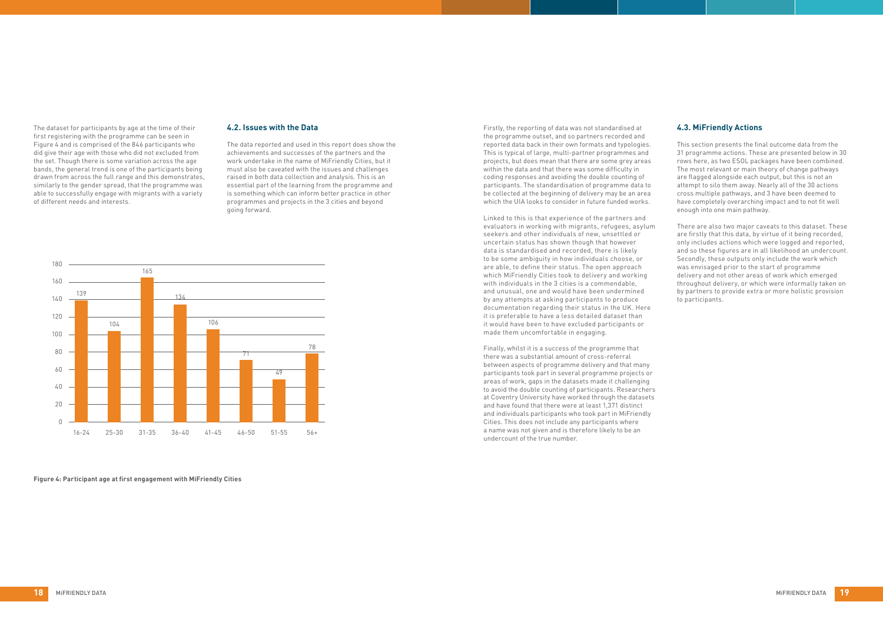The dataset for participants by age at the time of their first registering with the programme can be seen in Figure 4 and is comprised of the 846 participants who did give their age with those who did not excluded from the set. Though there is some variation across the age bands, the general trend is one of the participants being drawn from across the full range and this demonstrates, similarly to the gender spread, that the programme was able to successfully engage with migrants with a variety of different needs and interests.

#### **4.2. Issues with the Data**

The data reported and used in this report does show the achievements and successes of the partners and the work undertake in the name of MiFriendly Cities, but it must also be caveated with the issues and challenges raised in both data collection and analysis. This is an essential part of the learning from the programme and is something which can inform better practice in other programmes and projects in the 3 cities and beyond going forward.

Firstly, the reporting of data was not standardised at the programme outset, and so partners recorded and reported data back in their own formats and typologies. This is typical of large, multi-partner programmes and projects, but does mean that there are some grey areas within the data and that there was some difficulty in coding responses and avoiding the double counting of participants. The standardisation of programme data to be collected at the beginning of delivery may be an area which the UIA looks to consider in future funded works.

Linked to this is that experience of the partners and evaluators in working with migrants, refugees, asylum seekers and other individuals of new, unsettled or uncertain status has shown though that however data is standardised and recorded, there is likely to be some ambiguity in how individuals choose, or are able, to define their status. The open approach which MiFriendly Cities took to delivery and working with individuals in the 3 cities is a commendable, and unusual, one and would have been undermined by any attempts at asking participants to produce documentation regarding their status in the UK. Here it is preferable to have a less detailed dataset than it would have been to have excluded participants or made them uncomfortable in engaging.

Finally, whilst it is a success of the programme that there was a substantial amount of cross-referral between aspects of programme delivery and that many participants took part in several programme projects or areas of work, gaps in the datasets made it challenging to avoid the double counting of participants. Researchers at Coventry University have worked through the datasets and have found that there were at least 1,371 distinct and individuals participants who took part in MiFriendly Cities. This does not include any participants where a name was not given and is therefore likely to be an undercount of the true number.

# **4.3. MiFriendly Actions**

This section presents the final outcome data from the 31 programme actions. These are presented below in 30 rows here, as two ESOL packages have been combined. The most relevant or main theory of change pathways are flagged alongside each output, but this is not an attempt to silo them away. Nearly all of the 30 actions cross multiple pathways, and 3 have been deemed to have completely overarching impact and to not fit well enough into one main pathway.

There are also two major caveats to this dataset. These are firstly that this data, by virtue of it being recorded, only includes actions which were logged and reported, and so these figures are in all likelihood an undercount. Secondly, these outputs only include the work which was envisaged prior to the start of programme delivery and not other areas of work which emerged throughout delivery, or which were informally taken on by partners to provide extra or more holistic provision to participants.



**Figure 4: Participant age at first engagement with MiFriendly Cities**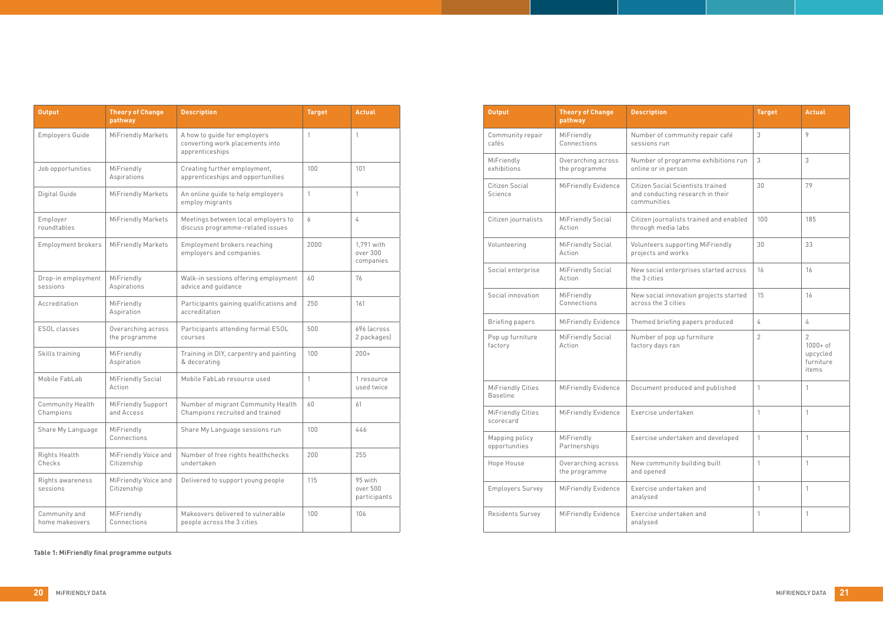| <b>Output</b>                         | <b>Theory of Change</b><br>pathway  | <b>Description</b>                                                                   | <b>Target</b>  | <b>Actual</b>                                                   |
|---------------------------------------|-------------------------------------|--------------------------------------------------------------------------------------|----------------|-----------------------------------------------------------------|
| Community repair<br>cafés             | MiFriendly<br>Connections           | Number of community repair café<br>sessions run                                      | 3              | 9                                                               |
| MiFriendly<br>exhibitions             | Overarching across<br>the programme | Number of programme exhibitions run<br>online or in person                           | 3              | 3                                                               |
| Citizen Social<br><b>Science</b>      | MiFriendly Evidence                 | Citizen Social Scientists trained<br>and conducting research in their<br>communities | 30             | 79                                                              |
| Citizen journalists                   | <b>MiFriendly Social</b><br>Action  | Citizen journalists trained and enabled<br>through media labs                        | 100            | 185                                                             |
| Volunteering                          | <b>MiFriendly Social</b><br>Action  | Volunteers supporting MiFriendly<br>projects and works                               | 30             | 33                                                              |
| Social enterprise                     | MiFriendly Social<br>Action         | New social enterprises started across<br>the 3 cities                                | 16             | 16                                                              |
| Social innovation                     | MiFriendly<br>Connections           | New social innovation projects started<br>across the 3 cities                        | 15             | 16                                                              |
| <b>Briefing papers</b>                | MiFriendly Evidence                 | Themed briefing papers produced                                                      | 4              | 4                                                               |
| Pop up furniture<br>factory           | MiFriendly Social<br>Action         | Number of pop up furniture<br>factory days ran                                       | $\overline{2}$ | $\overline{2}$<br>$1000 + of$<br>upcycled<br>furniture<br>items |
| MiFriendly Cities<br><b>Baseline</b>  | MiFriendly Evidence                 | Document produced and published                                                      | 1              | 1                                                               |
| <b>MiFriendly Cities</b><br>scorecard | MiFriendly Evidence                 | Exercise undertaken                                                                  | 1              | 1                                                               |
| Mapping policy<br>opportunities       | MiFriendly<br>Partnerships          | Exercise undertaken and developed                                                    | 1              | 1                                                               |
| Hope House                            | Overarching across<br>the programme | New community building built<br>and opened                                           | 1              | $\mathbf{1}$                                                    |
| <b>Employers Survey</b>               | MiFriendly Evidence                 | Exercise undertaken and<br>analysed                                                  | 1              | 1                                                               |
| Residents Survey                      | MiFriendly Evidence                 | Exercise undertaken and<br>analysed                                                  | 1              | 1                                                               |

| <b>Output</b>                   | <b>Theory of Change</b><br>pathway  | <b>Description</b>                                                                 | <b>Target</b> | <b>Actual</b>                       |
|---------------------------------|-------------------------------------|------------------------------------------------------------------------------------|---------------|-------------------------------------|
| Employers Guide                 | MiFriendly Markets                  | A how to guide for employers<br>converting work placements into<br>apprenticeships | 1             | $\mathbf{1}$                        |
| Job opportunities               | MiFriendly<br>Aspirations           | Creating further employment,<br>apprenticeships and opportunities                  | 100           | 101                                 |
| Digital Guide                   | MiFriendly Markets                  | An online guide to help employers<br>employ migrants                               | 1             | 1                                   |
| Employer<br>roundtables         | MiFriendly Markets                  | Meetings between local employers to<br>discuss programme-related issues            | 6             | 4                                   |
| Employment brokers              | MiFriendly Markets                  | Employment brokers reaching<br>employers and companies                             | 2000          | 1,791 with<br>over 300<br>companies |
| Drop-in employment<br>sessions  | MiFriendly<br>Aspirations           | Walk-in sessions offering employment<br>advice and guidance                        | 60            | 76                                  |
| Accreditation                   | MiFriendly<br>Aspiration            | Participants gaining qualifications and<br>accreditation                           | 250           | 161                                 |
| ESOL classes                    | Overarching across<br>the programme | Participants attending formal ESOL<br>courses                                      | 500           | 696 (across<br>2 packages)          |
| Skills training                 | MiFriendly<br>Aspiration            | Training in DIY, carpentry and painting<br>& decorating                            | 100           | $200+$                              |
| Mobile FabLab                   | MiFriendly Social<br>Action         | Mobile FabLab resource used                                                        | 1             | 1 resource<br>used twice            |
| Community Health<br>Champions   | MiFriendly Support<br>and Access    | Number of migrant Community Health<br>Champions recruited and trained              | 60            | 61                                  |
| Share My Language               | MiFriendly<br>Connections           | Share My Language sessions run                                                     | 100           | 446                                 |
| Rights Health<br>Checks         | MiFriendly Voice and<br>Citizenship | Number of free rights healthchecks<br>undertaken                                   | 200           | 255                                 |
| Rights awareness<br>sessions    | MiFriendly Voice and<br>Citizenship | Delivered to support young people                                                  | 115           | 95 with<br>over 500<br>participants |
| Community and<br>home makeovers | MiFriendly<br>Connections           | Makeovers delivered to vulnerable<br>people across the 3 cities                    | 100           | 106                                 |

**Table 1: MiFriendly final programme outputs**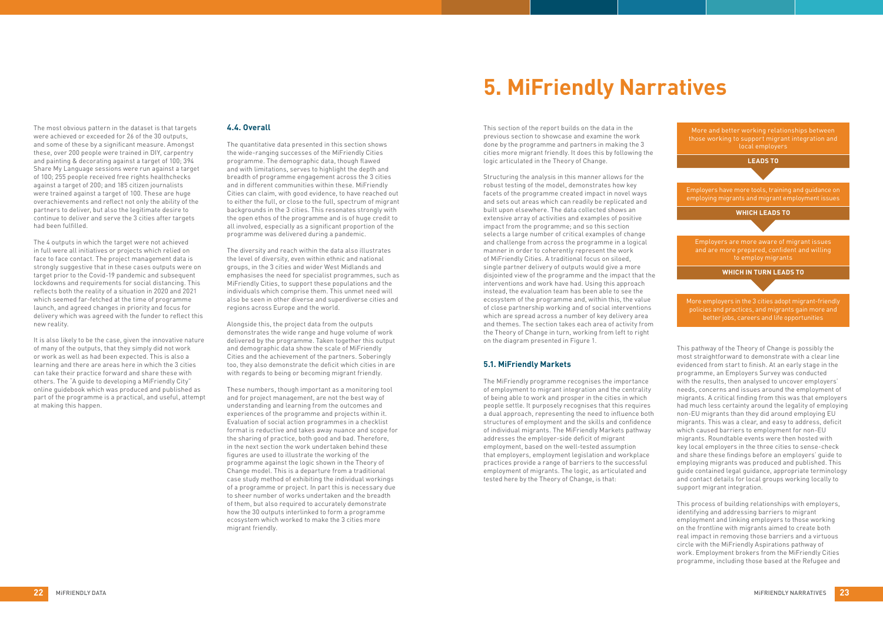This section of the report builds on the data in the previous section to showcase and examine the work done by the programme and partners in making the 3 cities more migrant friendly. It does this by following the logic articulated in the Theory of Change.

Structuring the analysis in this manner allows for the robust testing of the model, demonstrates how key facets of the programme created impact in novel ways and sets out areas which can readily be replicated and built upon elsewhere. The data collected shows an extensive array of activities and examples of positive impact from the programme; and so this section selects a large number of critical examples of change and challenge from across the programme in a logical manner in order to coherently represent the work of MiFriendly Cities. A traditional focus on siloed, single partner delivery of outputs would give a more disjointed view of the programme and the impact that the interventions and work have had. Using this approach instead, the evaluation team has been able to see the ecosystem of the programme and, within this, the value of close partnership working and of social interventions which are spread across a number of key delivery area and themes. The section takes each area of activity from the Theory of Change in turn, working from left to right on the diagram presented in Figure 1.

#### **5.1. MiFriendly Markets**

The MiFriendly programme recognises the importance of employment to migrant integration and the centrality of being able to work and prosper in the cities in which people settle. It purposely recognises that this requires a dual approach, representing the need to influence both structures of employment and the skills and confidence of individual migrants. The MiFriendly Markets pathway addresses the employer-side deficit of migrant employment, based on the well-tested assumption that employers, employment legislation and workplace practices provide a range of barriers to the successful employment of migrants. The logic, as articulated and tested here by the Theory of Change, is that:

This pathway of the Theory of Change is possibly the most straightforward to demonstrate with a clear line evidenced from start to finish. At an early stage in the programme, an Employers Survey was conducted with the results, then analysed to uncover employers' needs, concerns and issues around the employment of migrants. A critical finding from this was that employers had much less certainty around the legality of employing non-EU migrants than they did around employing EU migrants. This was a clear, and easy to address, deficit which caused barriers to employment for non-EU migrants. Roundtable events were then hosted with key local employers in the three cities to sense-check and share these findings before an employers' guide to employing migrants was produced and published. This guide contained legal guidance, appropriate terminology and contact details for local groups working locally to support migrant integration.

This process of building relationships with employers, identifying and addressing barriers to migrant employment and linking employers to those working on the frontline with migrants aimed to create both real impact in removing those barriers and a virtuous circle with the MiFriendly Aspirations pathway of work. Employment brokers from the MiFriendly Cities programme, including those based at the Refugee and

The most obvious pattern in the dataset is that targets were achieved or exceeded for 26 of the 30 outputs, and some of these by a significant measure. Amongst these, over 200 people were trained in DIY, carpentry and painting & decorating against a target of 100; 394 Share My Language sessions were run against a target of 100; 255 people received free rights healthchecks against a target of 200; and 185 citizen journalists were trained against a target of 100. These are huge overachievements and reflect not only the ability of the partners to deliver, but also the legitimate desire to continue to deliver and serve the 3 cities after targets had been fulfilled.

The 4 outputs in which the target were not achieved in full were all initiatives or projects which relied on face to face contact. The project management data is strongly suggestive that in these cases outputs were on target prior to the Covid-19 pandemic and subsequent lockdowns and requirements for social distancing. This reflects both the reality of a situation in 2020 and 2021 which seemed far-fetched at the time of programme launch, and agreed changes in priority and focus for delivery which was agreed with the funder to reflect this new reality.

It is also likely to be the case, given the innovative nature of many of the outputs, that they simply did not work or work as well as had been expected. This is also a learning and there are areas here in which the 3 cities can take their practice forward and share these with others. The "A guide to developing a MiFriendly City" online guidebook which was produced and published as part of the programme is a practical, and useful, attempt at making this happen.

## **4.4. Overall**

The quantitative data presented in this section shows the wide-ranging successes of the MiFriendly Cities programme. The demographic data, though flawed and with limitations, serves to highlight the depth and breadth of programme engagement across the 3 cities and in different communities within these. MiFriendly Cities can claim, with good evidence, to have reached out to either the full, or close to the full, spectrum of migrant backgrounds in the 3 cities. This resonates strongly with the open ethos of the programme and is of huge credit to all involved, especially as a significant proportion of the programme was delivered during a pandemic.

The diversity and reach within the data also illustrates the level of diversity, even within ethnic and national groups, in the 3 cities and wider West Midlands and emphasises the need for specialist programmes, such as MiFriendly Cities, to support these populations and the individuals which comprise them. This unmet need will also be seen in other diverse and superdiverse cities and regions across Europe and the world.

Alongside this, the project data from the outputs demonstrates the wide range and huge volume of work delivered by the programme. Taken together this output and demographic data show the scale of MiFriendly Cities and the achievement of the partners. Soberingly too, they also demonstrate the deficit which cities in are with regards to being or becoming migrant friendly.

These numbers, though important as a monitoring tool and for project management, are not the best way of understanding and learning from the outcomes and experiences of the programme and projects within it. Evaluation of social action programmes in a checklist format is reductive and takes away nuance and scope for the sharing of practice, both good and bad. Therefore, in the next section the work undertaken behind these figures are used to illustrate the working of the programme against the logic shown in the Theory of Change model. This is a departure from a traditional case study method of exhibiting the individual workings of a programme or project. In part this is necessary due to sheer number of works undertaken and the breadth of them, but also required to accurately demonstrate how the 30 outputs interlinked to form a programme ecosystem which worked to make the 3 cities more migrant friendly.

# **5. MiFriendly Narratives**

More and better working relationships between those working to support migrant integration and local employers

**LEADS TO**

Employers have more tools, training and guidance on employing migrants and migrant employment issues

**WHICH LEADS TO**

Employers are more aware of migrant issues and are more prepared, confident and willing to employ migrants

**WHICH IN TURN LEADS TO**

More employers in the 3 cities adopt migrant-friendly policies and practices, and migrants gain more and better jobs, careers and life opportunities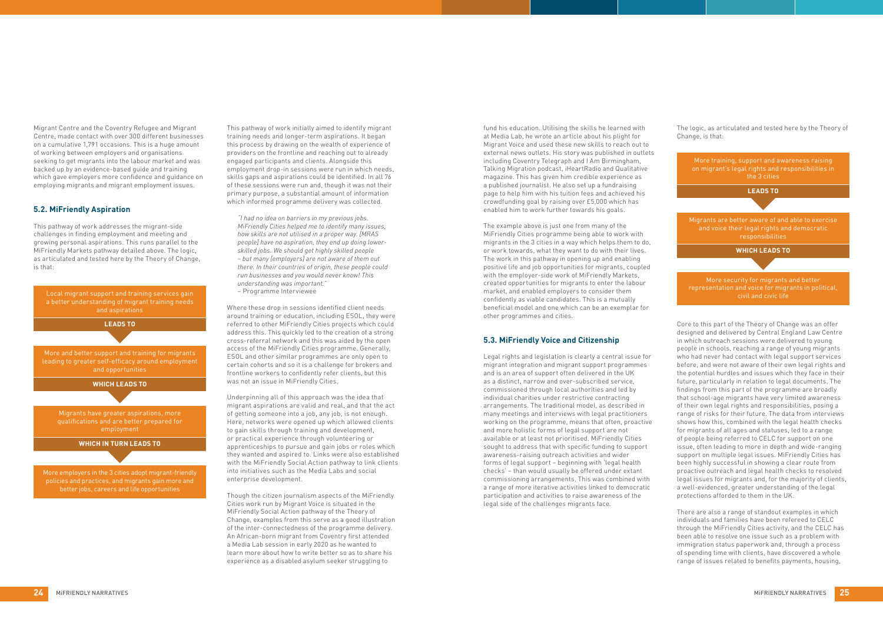Migrant Centre and the Coventry Refugee and Migrant Centre, made contact with over 300 different businesses on a cumulative 1,791 occasions. This is a huge amount of working between employers and organisations seeking to get migrants into the labour market and was backed up by an evidence-based guide and training which gave employers more confidence and guidance on employing migrants and migrant employment issues.

### **5.2. MiFriendly Aspiration**

This pathway of work addresses the migrant-side challenges in finding employment and meeting and growing personal aspirations. This runs parallel to the MiFriendly Markets pathway detailed above. The logic, as articulated and tested here by the Theory of Change, is that:

This pathway of work initially aimed to identify migrant training needs and longer-term aspirations. It began this process by drawing on the wealth of experience of providers on the frontline and reaching out to already engaged participants and clients. Alongside this employment drop-in sessions were run in which needs, skills gaps and aspirations could be identified. In all 76 of these sessions were run and, though it was not their primary purpose, a substantial amount of information which informed programme delivery was collected.

*"I had no idea on barriers in my previous jobs. MiFriendly Cities helped me to identify many issues, how skills are not utilised in a proper way. [MRAS people] have no aspiration, they end up doing lowerskilled jobs. We should get highly skilled people – but many [employers] are not aware of them out there. In their countries of origin, these people could run businesses and you would never know! This understanding was important."*  – Programme Interviewee

Where these drop in sessions identified client needs around training or education, including ESOL, they were referred to other MiFriendly Cities projects which could address this. This quickly led to the creation of a strong cross-referral network and this was aided by the open access of the MiFriendly Cities programme. Generally, ESOL and other similar programmes are only open to certain cohorts and so it is a challenge for brokers and frontline workers to confidently refer clients, but this was not an issue in MiFriendly Cities.

Underpinning all of this approach was the idea that migrant aspirations are valid and real, and that the act of getting someone into a job, any job, is not enough. Here, networks were opened up which allowed clients to gain skills through training and development, or practical experience through volunteering or apprenticeships to pursue and gain jobs or roles which they wanted and aspired to. Links were also established with the MiFriendly Social Action pathway to link clients into initiatives such as the Media Labs and social enterprise development.

Though the citizen journalism aspects of the MiFriendly Cities work run by Migrant Voice is situated in the MiFriendly Social Action pathway of the Theory of Change, examples from this serve as a good illustration of the inter-connectedness of the programme delivery. An African-born migrant from Coventry first attended a Media Lab session in early 2020 as he wanted to learn more about how to write better so as to share his experience as a disabled asylum seeker struggling to

fund his education. Utilising the skills he learned with at Media Lab, he wrote an article about his plight for Migrant Voice and used these new skills to reach out to external news outlets. His story was published in outlets including Coventry Telegraph and I Am Birmingham, Talking Migration podcast, iHeartRadio and Qualitative magazine. This has given him credible experience as a published journalist. He also set up a fundraising page to help him with his tuition fees and achieved his crowdfunding goal by raising over £5,000 which has enabled him to work further towards his goals.

The example above is just one from many of the MiFriendly Cities programme being able to work with migrants in the 3 cities in a way which helps them to do, or work towards, what they want to do with their lives. The work in this pathway in opening up and enabling positive life and job opportunities for migrants, coupled with the employer-side work of MiFriendly Markets, created opportunities for migrants to enter the labour market, and enabled employers to consider them confidently as viable candidates. This is a mutually beneficial model and one which can be an exemplar for other programmes and cities.

### **5.3. MiFriendly Voice and Citizenship**

Legal rights and legislation is clearly a central issue for migrant integration and migrant support programmes and is an area of support often delivered in the UK as a distinct, narrow and over-subscribed service, commissioned through local authorities and led by individual charities under restrictive contracting arrangements. The traditional model, as described in many meetings and interviews with legal practitioners working on the programme, means that often, proactive and more holistic forms of legal support are not available or at least not prioritised. MiFriendly Cities sought to address that with specific funding to support awareness-raising outreach activities and wider forms of legal support – beginning with 'legal health checks' – than would usually be offered under extant commissioning arrangements. This was combined with a range of more iterative activities linked to democratic participation and activities to raise awareness of the legal side of the challenges migrants face.

The logic, as articulated and tested here by the Theory of Change, is that:

Core to this part of the Theory of Change was an offer designed and delivered by Central England Law Centre in which outreach sessions were delivered to young people in schools, reaching a range of young migrants who had never had contact with legal support services before, and were not aware of their own legal rights and the potential hurdles and issues which they face in their future, particularly in relation to legal documents. The findings from this part of the programme are broadly that school-age migrants have very limited awareness of their own legal rights and responsibilities, posing a range of risks for their future. The data from interviews shows how this, combined with the legal health checks for migrants of all ages and statuses, led to a range of people being referred to CELC for support on one issue, often leading to more in depth and wide-ranging support on multiple legal issues. MiFriendly Cities has been highly successful in showing a clear route from proactive outreach and legal health checks to resolved legal issues for migrants and, for the majority of clients, a well-evidenced, greater understanding of the legal protections afforded to them in the UK.

There are also a range of standout examples in which individuals and families have been refereed to CELC through the MiFriendly Cities activity, and the CELC has been able to resolve one issue such as a problem with immigration status paperwork and, through a process of spending time with clients, have discovered a whole range of issues related to benefits payments, housing,



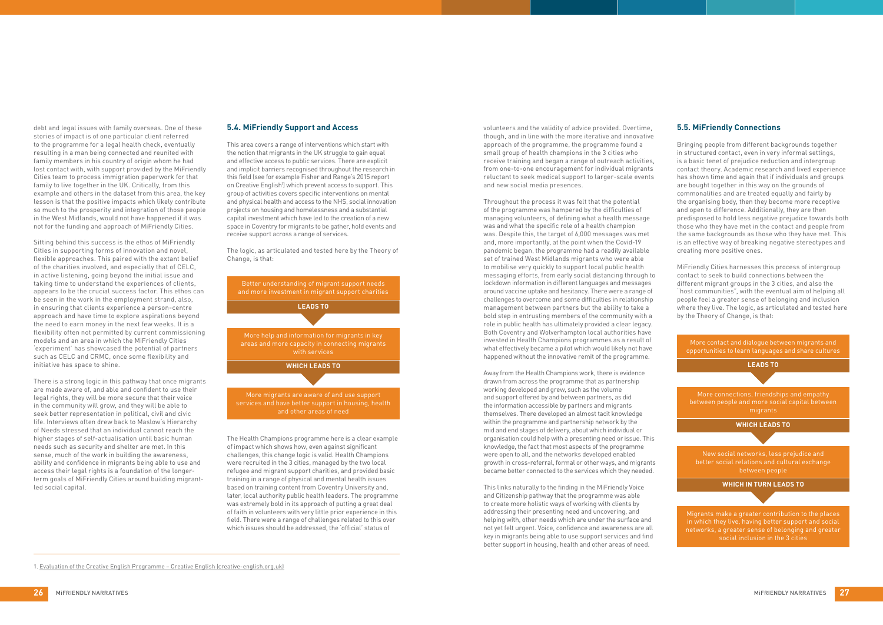debt and legal issues with family overseas. One of these stories of impact is of one particular client referred to the programme for a legal health check, eventually resulting in a man being connected and reunited with family members in his country of origin whom he had lost contact with, with support provided by the MiFriendly Cities team to process immigration paperwork for that family to live together in the UK. Critically, from this example and others in the dataset from this area, the key lesson is that the positive impacts which likely contribute so much to the prosperity and integration of those people in the West Midlands, would not have happened if it was not for the funding and approach of MiFriendly Cities.

Sitting behind this success is the ethos of MiFriendly Cities in supporting forms of innovation and novel, flexible approaches. This paired with the extant belief of the charities involved, and especially that of CELC, in active listening, going beyond the initial issue and taking time to understand the experiences of clients, appears to be the crucial success factor. This ethos can be seen in the work in the employment strand, also, in ensuring that clients experience a person-centre approach and have time to explore aspirations beyond the need to earn money in the next few weeks. It is a flexibility often not permitted by current commissioning models and an area in which the MiFriendly Cities 'experiment' has showcased the potential of partners such as CELC and CRMC, once some flexibility and initiative has space to shine.

There is a strong logic in this pathway that once migrants are made aware of, and able and confident to use their legal rights, they will be more secure that their voice in the community will grow, and they will be able to seek better representation in political, civil and civic life. Interviews often drew back to Maslow's Hierarchy of Needs stressed that an individual cannot reach the higher stages of self-actualisation until basic human needs such as security and shelter are met. In this sense, much of the work in building the awareness, ability and confidence in migrants being able to use and access their legal rights is a foundation of the longerterm goals of MiFriendly Cities around building migrantled social capital.

## **5.4. MiFriendly Support and Access**

This area covers a range of interventions which start with the notion that migrants in the UK struggle to gain equal and effective access to public services. There are explicit and implicit barriers recognised throughout the research in this field (see for example Fisher and Range's 2015 report on Creative English<sup>1</sup>) which prevent access to support. This group of activities covers specific interventions on mental and physical health and access to the NHS, social innovation projects on housing and homelessness and a substantial capital investment which have led to the creation of a new space in Coventry for migrants to be gather, hold events and receive support across a range of services.

The logic, as articulated and tested here by the Theory of Change, is that:

The Health Champions programme here is a clear example of impact which shows how, even against significant challenges, this change logic is valid. Health Champions were recruited in the 3 cities, managed by the two local refugee and migrant support charities, and provided basic training in a range of physical and mental health issues based on training content from Coventry University and, later, local authority public health leaders. The programme was extremely bold in its approach of putting a great deal of faith in volunteers with very little prior experience in this field. There were a range of challenges related to this over which issues should be addressed, the 'official' status of

volunteers and the validity of advice provided. Overtime, though, and in line with the more iterative and innovative approach of the programme, the programme found a small group of health champions in the 3 cities who receive training and began a range of outreach activities, from one-to-one encouragement for individual migrants reluctant to seek medical support to larger-scale events and new social media presences.

Throughout the process it was felt that the potential of the programme was hampered by the difficulties of managing volunteers, of defining what a health message was and what the specific role of a health champion was. Despite this, the target of 6,000 messages was met and, more importantly, at the point when the Covid-19 pandemic began, the programme had a readily available set of trained West Midlands migrants who were able to mobilise very quickly to support local public health messaging efforts, from early social distancing through to lockdown information in different languages and messages around vaccine uptake and hesitancy. There were a range of challenges to overcome and some difficulties in relationship management between partners but the ability to take a bold step in entrusting members of the community with a role in public health has ultimately provided a clear legacy. Both Coventry and Wolverhampton local authorities have invested in Health Champions programmes as a result of what effectively became a pilot which would likely not have happened without the innovative remit of the programme.

Away from the Health Champions work, there is evidence drawn from across the programme that as partnership working developed and grew, such as the volume and support offered by and between partners, as did the information accessible by partners and migrants themselves. There developed an almost tacit knowledge within the programme and partnership network by the mid and end stages of delivery, about which individual or organisation could help with a presenting need or issue. This knowledge, the fact that most aspects of the programme were open to all, and the networks developed enabled growth in cross-referral, formal or other ways, and migrants became better connected to the services which they needed.

This links naturally to the finding in the MiFriendly Voice and Citizenship pathway that the programme was able to create more holistic ways of working with clients by addressing their presenting need and uncovering, and helping with, other needs which are under the surface and not yet felt urgent. Voice, confidence and awareness are all key in migrants being able to use support services and find better support in housing, health and other areas of need.

# **5.5. MiFriendly Connections**

Bringing people from different backgrounds together in structured contact, even in very informal settings, is a basic tenet of prejudice reduction and intergroup contact theory. Academic research and lived experience has shown time and again that if individuals and groups are bought together in this way on the grounds of commonalities and are treated equally and fairly by the organising body, then they become more receptive and open to difference. Additionally, they are then predisposed to hold less negative prejudice towards both those who they have met in the contact and people from the same backgrounds as those who they have met. This is an effective way of breaking negative stereotypes and creating more positive ones.

MiFriendly Cities harnesses this process of intergroup contact to seek to build connections between the different migrant groups in the 3 cities, and also the "host communities", with the eventual aim of helping all people feel a greater sense of belonging and inclusion where they live. The logic, as articulated and tested here by the Theory of Change, is that:





1. [Evaluation of the Creative English Programme – Creative English \(creative-english.org.uk\)](https://www.creative-english.org.uk/stories/evaluation-of-the-creative-english-programme/)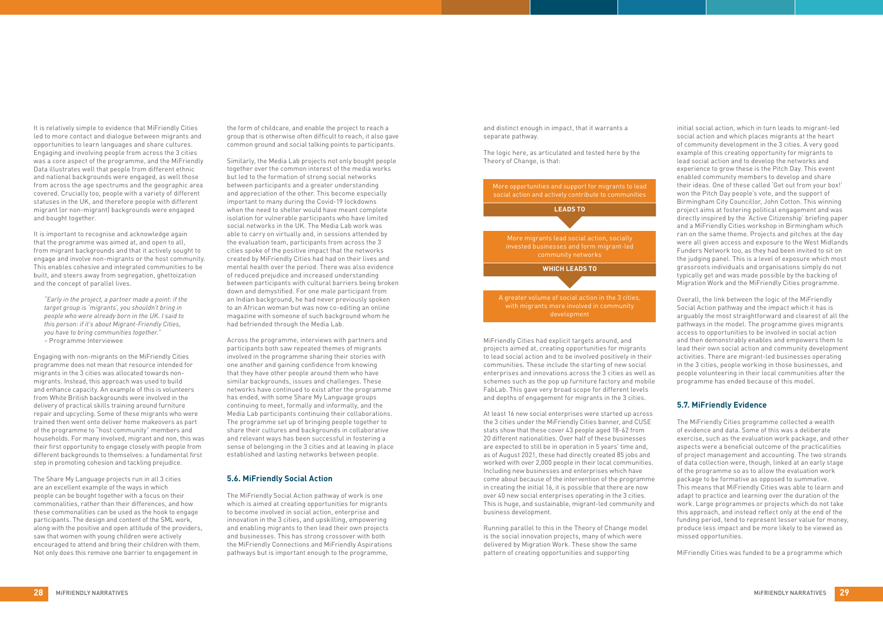It is relatively simple to evidence that MiFriendly Cities led to more contact and dialogue between migrants and opportunities to learn languages and share cultures. Engaging and involving people from across the 3 cities was a core aspect of the programme, and the MiFriendly Data illustrates well that people from different ethnic and national backgrounds were engaged, as well those from across the age spectrums and the geographic area covered. Crucially too, people with a variety of different statuses in the UK, and therefore people with different migrant (or non-migrant) backgrounds were engaged and bought together.

It is important to recognise and acknowledge again that the programme was aimed at, and open to all, from migrant backgrounds and that it actively sought to engage and involve non-migrants or the host community. This enables cohesive and integrated communities to be built, and steers away from segregation, ghettoization and the concept of parallel lives.

*"Early in the project, a partner made a point: if the target group is 'migrants', you shouldn't bring in people who were already born in the UK. I said to this person: if it's about Migrant-Friendly Cities, you have to bring communities together." –* Programme Interviewee

Engaging with non-migrants on the MiFriendly Cities programme does not mean that resource intended for migrants in the 3 cities was allocated towards nonmigrants. Instead, this approach was used to build and enhance capacity. An example of this is volunteers from White British backgrounds were involved in the delivery of practical skills training around furniture repair and upcycling. Some of these migrants who were trained then went onto deliver home makeovers as part of the programme to "host community" members and households. For many involved, migrant and non, this was their first opportunity to engage closely with people from different backgrounds to themselves: a fundamental first step in promoting cohesion and tackling prejudice.

The Share My Language projects run in all 3 cities are an excellent example of the ways in which people can be bought together with a focus on their commonalities, rather than their differences, and how these commonalities can be used as the hook to engage participants. The design and content of the SML work, along with the positive and open attitude of the providers, saw that women with young children were actively encouraged to attend and bring their children with them. Not only does this remove one barrier to engagement in

the form of childcare, and enable the project to reach a group that is otherwise often difficult to reach, it also gave common ground and social talking points to participants.

Similarly, the Media Lab projects not only bought people together over the common interest of the media works but led to the formation of strong social networks between participants and a greater understanding and appreciation of the other. This become especially important to many during the Covid-19 lockdowns when the need to shelter would have meant complete isolation for vulnerable participants who have limited social networks in the UK. The Media Lab work was able to carry on virtually and, in sessions attended by the evaluation team, participants from across the 3 cities spoke of the positive impact that the networks created by MiFriendly Cities had had on their lives and mental health over the period. There was also evidence of reduced prejudice and increased understanding between participants with cultural barriers being broken down and demystified. For one male participant from an Indian background, he had never previously spoken to an African woman but was now co-editing an online magazine with someone of such background whom he had befriended through the Media Lab.

Across the programme, interviews with partners and participants both saw repeated themes of migrants involved in the programme sharing their stories with one another and gaining confidence from knowing that they have other people around them who have similar backgrounds, issues and challenges. These networks have continued to exist after the programme has ended, with some Share My Language groups continuing to meet, formally and informally, and the Media Lab participants continuing their collaborations. The programme set up of bringing people together to share their cultures and backgrounds in collaborative and relevant ways has been successful in fostering a sense of belonging in the 3 cities and at leaving in place established and lasting networks between people.

#### **5.6. MiFriendly Social Action**

The MiFriendly Social Action pathway of work is one which is aimed at creating opportunities for migrants to become involved in social action, enterprise and innovation in the 3 cities, and upskilling, empowering and enabling migrants to then lead their own projects and businesses. This has strong crossover with both the MiFriendly Connections and MiFriendly Aspirations pathways but is important enough to the programme,

and distinct enough in impact, that it warrants a separate pathway.

The logic here, as articulated and tested here by the Theory of Change, is that:

MiFriendly Cities had explicit targets around, and projects aimed at, creating opportunities for migrants to lead social action and to be involved positively in their communities. These include the starting of new social enterprises and innovations across the 3 cities as well as schemes such as the pop up furniture factory and mobile FabLab. This gave very broad scope for different levels and depths of engagement for migrants in the 3 cities.

At least 16 new social enterprises were started up across the 3 cities under the MiFriendly Cities banner, and CUSE stats show that these cover 43 people aged 18-62 from 20 different nationalities. Over half of these businesses are expected to still be in operation in 5 years' time and, as of August 2021, these had directly created 85 jobs and worked with over 2,000 people in their local communities. Including new businesses and enterprises which have come about because of the intervention of the programme in creating the initial 16, it is possible that there are now over 40 new social enterprises operating in the 3 cities. This is huge, and sustainable, migrant-led community and business development.

Running parallel to this in the Theory of Change model is the social innovation projects, many of which were delivered by Migration Work. These show the same pattern of creating opportunities and supporting

initial social action, which in turn leads to migrant-led social action and which places migrants at the heart of community development in the 3 cities. A very good example of this creating opportunity for migrants to lead social action and to develop the networks and experience to grow these is the Pitch Day. This event enabled community members to develop and share their ideas. One of these called 'Get out from your box!' won the Pitch Day people's vote, and the support of Birmingham City Councillor, John Cotton. This winning project aims at fostering political engagement and was directly inspired by the 'Active Citizenship' briefing paper and a MiFriendly Cities workshop in Birmingham which ran on the same theme. Projects and pitches at the day were all given access and exposure to the West Midlands Funders Network too, as they had been invited to sit on the judging panel. This is a level of exposure which most grassroots individuals and organisations simply do not typically get and was made possible by the backing of Migration Work and the MiFriendly Cities programme.

Overall, the link between the logic of the MiFriendly Social Action pathway and the impact which it has is arguably the most straightforward and clearest of all the pathways in the model. The programme gives migrants access to opportunities to be involved in social action and then demonstrably enables and empowers them to lead their own social action and community development activities. There are migrant-led businesses operating in the 3 cities, people working in those businesses, and people volunteering in their local communities after the programme has ended because of this model.

# **5.7. MiFriendly Evidence**

The MiFriendly Cities programme collected a wealth of evidence and data. Some of this was a deliberate exercise, such as the evaluation work package, and other aspects were a beneficial outcome of the practicalities of project management and accounting. The two strands of data collection were, though, linked at an early stage of the programme so as to allow the evaluation work package to be formative as opposed to summative. This means that MiFriendly Cities was able to learn and adapt to practice and learning over the duration of the work. Large programmes or projects which do not take this approach, and instead reflect only at the end of the funding period, tend to represent lesser value for money, produce less impact and be more likely to be viewed as missed opportunities.

MiFriendly Cities was funded to be a programme which

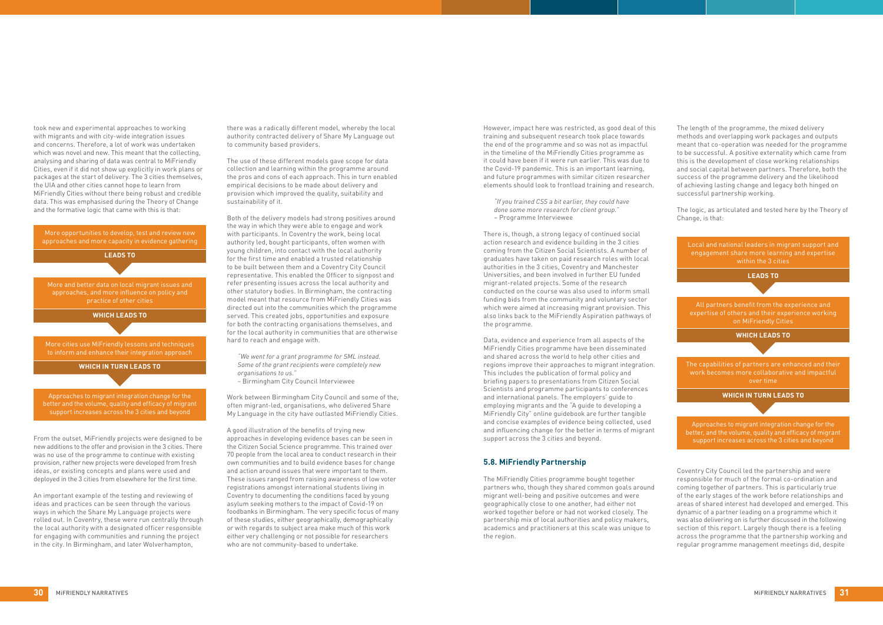took new and experimental approaches to working with migrants and with city-wide integration issues and concerns. Therefore, a lot of work was undertaken which was novel and new. This meant that the collecting, analysing and sharing of data was central to MiFriendly Cities, even if it did not show up explicitly in work plans or packages at the start of delivery. The 3 cities themselves, the UIA and other cities cannot hope to learn from MiFriendly Cities without there being robust and credible data. This was emphasised during the Theory of Change and the formative logic that came with this is that:

From the outset, MiFriendly projects were designed to be new additions to the offer and provision in the 3 cities. There was no use of the programme to continue with existing provision, rather new projects were developed from fresh ideas, or existing concepts and plans were used and deployed in the 3 cities from elsewhere for the first time.

An important example of the testing and reviewing of ideas and practices can be seen through the various ways in which the Share My Language projects were rolled out. In Coventry, these were run centrally through the local authority with a designated officer responsible for engaging with communities and running the project in the city. In Birmingham, and later Wolverhampton,

there was a radically different model, whereby the local authority contracted delivery of Share My Language out to community based providers.

The use of these different models gave scope for data collection and learning within the programme around the pros and cons of each approach. This in turn enabled empirical decisions to be made about delivery and provision which improved the quality, suitability and sustainability of it.

Both of the delivery models had strong positives around the way in which they were able to engage and work with participants. In Coventry the work, being local authority led, bought participants, often women with young children, into contact with the local authority for the first time and enabled a trusted relationship to be built between them and a Coventry City Council representative. This enabled the Officer to signpost and refer presenting issues across the local authority and other statutory bodies. In Birmingham, the contracting model meant that resource from MiFriendly Cities was directed out into the communities which the programme served. This created jobs, opportunities and exposure for both the contracting organisations themselves, and for the local authority in communities that are otherwise hard to reach and engage with.

*"We went for a grant programme for SML instead. Some of the grant recipients were completely new organisations to us."* 

*–* Birmingham City Council Interviewee

Work between Birmingham City Council and some of the, often migrant-led, organisations, who delivered Share My Language in the city have outlasted MiFriendly Cities.

A good illustration of the benefits of trying new approaches in developing evidence bases can be seen in the Citizen Social Science programme. This trained over 70 people from the local area to conduct research in their own communities and to build evidence bases for change and action around issues that were important to them. These issues ranged from raising awareness of low voter registrations amongst international students living in Coventry to documenting the conditions faced by young asylum seeking mothers to the impact of Covid-19 on foodbanks in Birmingham. The very specific focus of many of these studies, either geographically, demographically or with regards to subject area make much of this work either very challenging or not possible for researchers who are not community-based to undertake.

However, impact here was restricted, as good deal of this training and subsequent research took place towards the end of the programme and so was not as impactful in the timeline of the MiFriendly Cities programme as it could have been if it were run earlier. This was due to the Covid-19 pandemic. This is an important learning, and future programmes with similar citizen researcher elements should look to frontload training and research.

*"If you trained CSS a bit earlier, they could have done some more research for client group."*  – Programme Interviewee

There is, though, a strong legacy of continued social action research and evidence building in the 3 cities coming from the Citizen Social Scientists. A number of graduates have taken on paid research roles with local authorities in the 3 cities, Coventry and Manchester Universities, and been involved in further EU funded migrant-related projects. Some of the research conducted on the course was also used to inform small funding bids from the community and voluntary sector which were aimed at increasing migrant provision. This also links back to the MiFriendly Aspiration pathways of the programme.

Data, evidence and experience from all aspects of the MiFriendly Cities programme have been disseminated and shared across the world to help other cities and regions improve their approaches to migrant integration. This includes the publication of formal policy and briefing papers to presentations from Citizen Social Scientists and programme participants to conferences and international panels. The employers' guide to employing migrants and the "A guide to developing a MiFriendly City" online guidebook are further tangible and concise examples of evidence being collected, used and influencing change for the better in terms of migrant support across the 3 cities and beyond.

# **5.8. MiFriendly Partnership**

The MiFriendly Cities programme bought together partners who, though they shared common goals around migrant well-being and positive outcomes and were geographically close to one another, had either not worked together before or had not worked closely. The partnership mix of local authorities and policy makers, academics and practitioners at this scale was unique to the region.

The length of the programme, the mixed delivery methods and overlapping work packages and outputs meant that co-operation was needed for the programme to be successful. A positive externality which came from this is the development of close working relationships and social capital between partners. Therefore, both the success of the programme delivery and the likelihood of achieving lasting change and legacy both hinged on successful partnership working.

The logic, as articulated and tested here by the Theory of Change, is that:

Coventry City Council led the partnership and were responsible for much of the formal co-ordination and coming together of partners. This is particularly true of the early stages of the work before relationships and areas of shared interest had developed and emerged. This dynamic of a partner leading on a programme which it was also delivering on is further discussed in the following section of this report. Largely though there is a feeling across the programme that the partnership working and regular programme management meetings did, despite



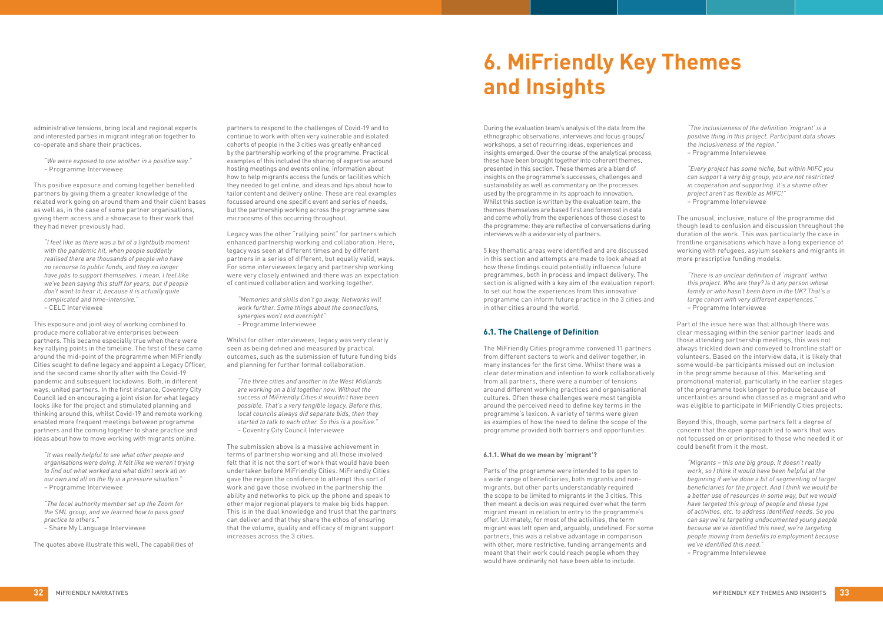

administrative tensions, bring local and regional experts and interested parties in migrant integration together to co-operate and share their practices.

*"We were exposed to one another in a positive way." –* Programme Interviewee

This positive exposure and coming together benefited partners by giving them a greater knowledge of the related work going on around them and their client bases as well as, in the case of some partner organisations, giving them access and a showcase to their work that they had never previously had.

*"I feel like as there was a bit of a lightbulb moment with the pandemic hit, when people suddenly realised there are thousands of people who have no recourse to public funds, and they no longer have jobs to support themselves. I mean, I feel like we've been saying this stuff for years, but if people don't want to hear it, because it is actually quite complicated and time-intensive." –* CELC Interviewee

This exposure and joint way of working combined to produce more collaborative enterprises between partners. This became especially true when there were key rallying points in the timeline. The first of these came around the mid-point of the programme when MiFriendly Cities sought to define legacy and appoint a Legacy Officer, and the second came shortly after with the Covid-19 pandemic and subsequent lockdowns. Both, in different ways, united partners. In the first instance, Coventry City Council led on encouraging a joint vision for what legacy looks like for the project and stimulated planning and thinking around this, whilst Covid-19 and remote working enabled more frequent meetings between programme partners and the coming together to share practice and ideas about how to move working with migrants online.

*"It was really helpful to see what other people and organisations were doing. It felt like we weren't trying to find out what worked and what didn't work all on our own and all on the fly in a pressure situation." –* Programme Interviewee

*"The local authority member set up the Zoom for the SML group, and we learned how to pass good practice to others."* 

*–* Share My Language Interviewee

The quotes above illustrate this well. The capabilities of

partners to respond to the challenges of Covid-19 and to continue to work with often very vulnerable and isolated cohorts of people in the 3 cities was greatly enhanced by the partnership working of the programme. Practical examples of this included the sharing of expertise around hosting meetings and events online, information about how to help migrants access the funds or facilities which they needed to get online, and ideas and tips about how to tailor content and delivery online. These are real examples focussed around one specific event and series of needs, but the partnership working across the programme saw microcosms of this occurring throughout.

Legacy was the other "rallying point" for partners which enhanced partnership working and collaboration. Here, legacy was seen at different times and by different partners in a series of different, but equally valid, ways. For some interviewees legacy and partnership working were very closely entwined and there was an expectation of continued collaboration and working together.

*"Memories and skills don't go away. Networks will work further. Some things about the connections, synergies won't end overnight" –* Programme Interviewee

Whilst for other interviewees, legacy was very clearly seen as being defined and measured by practical outcomes, such as the submission of future funding bids and planning for further formal collaboration.

*"The three cities and another in the West Midlands are working on a bid together now. Without the success of MiFriendly Cities it wouldn't have been possible. That's a very tangible legacy. Before this, local councils always did separate bids, then they started to talk to each other. So this is a positive." –* Coventry City Council Interviewee

The submission above is a massive achievement in terms of partnership working and all those involved felt that it is not the sort of work that would have been undertaken before MiFriendly Cities. MiFriendly Cities gave the region the confidence to attempt this sort of work and gave those involved in the partnership the ability and networks to pick up the phone and speak to other major regional players to make big bids happen. This is in the dual knowledge and trust that the partners can deliver and that they share the ethos of ensuring that the volume, quality and efficacy of migrant support increases across the 3 cities.

During the evaluation team's analysis of the data from the ethnographic observations, interviews and focus groups/ workshops, a set of recurring ideas, experiences and insights emerged. Over the course of the analytical process, these have been brought together into coherent themes, presented in this section. These themes are a blend of insights on the programme's successes, challenges and sustainability as well as commentary on the processes used by the programme in its approach to innovation. Whilst this section is written by the evaluation team, the themes themselves are based first and foremost in data and come wholly from the experiences of those closest to the programme: they are reflective of conversations during interviews with a wide variety of partners.

5 key thematic areas were identified and are discussed in this section and attempts are made to look ahead at how these findings could potentially influence future programmes, both in process and impact delivery. The section is aligned with a key aim of the evaluation report: to set out how the experiences from this innovative programme can inform future practice in the 3 cities and in other cities around the world.

### **6.1. The Challenge of Definition**

The MiFriendly Cities programme convened 11 partners from different sectors to work and deliver together, in many instances for the first time. Whilst there was a clear determination and intention to work collaboratively from all partners, there were a number of tensions around different working practices and organisational cultures. Often these challenges were most tangible around the perceived need to define key terms in the programme's lexicon. A variety of terms were given as examples of how the need to define the scope of the programme provided both barriers and opportunities.

#### **6.1.1. What do we mean by 'migrant'?**

Parts of the programme were intended to be open to a wide range of beneficiaries, both migrants and nonmigrants, but other parts understandably required the scope to be limited to migrants in the 3 cities. This then meant a decision was required over what the term migrant meant in relation to entry to the programme's offer. Ultimately, for most of the activities, the term migrant was left open and, arguably, undefined. For some partners, this was a relative advantage in comparison with other, more restrictive, funding arrangements and meant that their work could reach people whom they would have ordinarily not have been able to include.

*"The inclusiveness of the definition 'migrant' is a positive thing in this project. Participant data shows the inclusiveness of the region." –* Programme Interviewee

*"Every project has some niche, but within MIFC you can support a very big group, you are not restricted in cooperation and supporting. It's a shame other project aren't as flexible as MIFC!" –* Programme Interviewee

The unusual, inclusive, nature of the programme did though lead to confusion and discussion throughout the duration of the work. This was particularly the case in frontline organisations which have a long experience of working with refugees, asylum seekers and migrants in more prescriptive funding models.

*"There is an unclear definition of 'migrant' within this project. Who are they? Is it any person whose family or who hasn't been born in the UK? That's a large cohort with very different experiences." –* Programme Interviewee

Part of the issue here was that although there was clear messaging within the senior partner leads and those attending partnership meetings, this was not always trickled down and conveyed to frontline staff or volunteers. Based on the interview data, it is likely that some would-be participants missed out on inclusion in the programme because of this. Marketing and promotional material, particularly in the earlier stages of the programme took longer to produce because of uncertainties around who classed as a migrant and who was eligible to participate in MiFriendly Cities projects.

Beyond this, though, some partners felt a degree of concern that the open approach led to work that was not focussed on or prioritised to those who needed it or could benefit from it the most.

*"Migrants – this one big group. It doesn't really work, so I think it would have been helpful at the beginning if we've done a bit of segmenting of target beneficiaries for the project. And I think we would be a better use of resources in some way, but we would have targeted this group of people and these type of activities, etc. to address identified needs. So you can say we're targeting undocumented young people because we've identified this need, we're targeting people moving from benefits to employment because we've identified this need."*

*–* Programme Interviewee

# **6. MiFriendly Key Themes and Insights**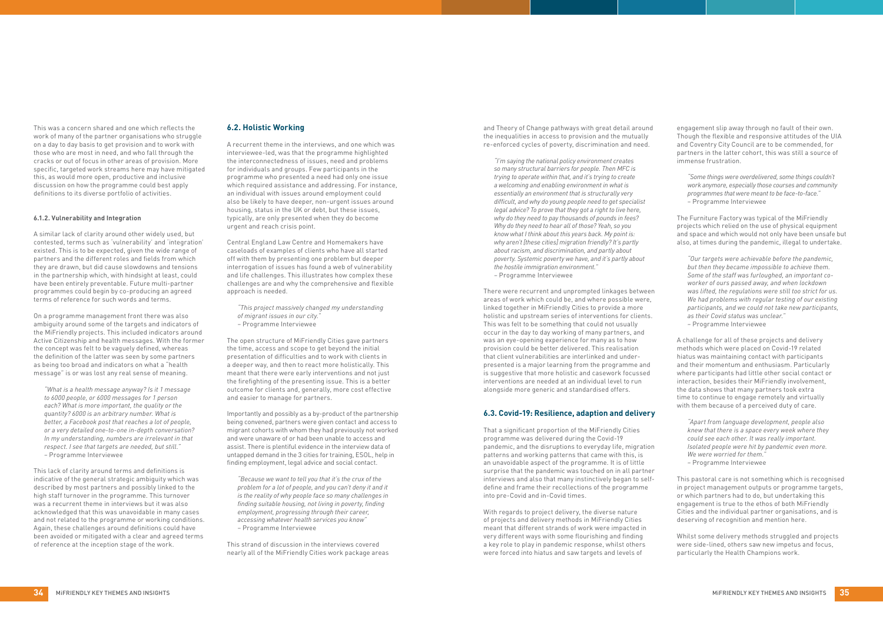This was a concern shared and one which reflects the work of many of the partner organisations who struggle on a day to day basis to get provision and to work with those who are most in need, and who fall through the cracks or out of focus in other areas of provision. More specific, targeted work streams here may have mitigated this, as would more open, productive and inclusive discussion on how the programme could best apply definitions to its diverse portfolio of activities.

#### **6.1.2. Vulnerability and Integration**

A similar lack of clarity around other widely used, but contested, terms such as 'vulnerability' and 'integration' existed. This is to be expected, given the wide range of partners and the different roles and fields from which they are drawn, but did cause slowdowns and tensions in the partnership which, with hindsight at least, could have been entirely preventable. Future multi-partner programmes could begin by co-producing an agreed terms of reference for such words and terms.

On a programme management front there was also ambiguity around some of the targets and indicators of the MiFriendly projects. This included indicators around Active Citizenship and health messages. With the former the concept was felt to be vaguely defined, whereas the definition of the latter was seen by some partners as being too broad and indicators on what a "health message" is or was lost any real sense of meaning.

*"What is a health message anyway? Is it 1 message to 6000 people, or 6000 messages for 1 person each? What is more important, the quality or the quantity? 6000 is an arbitrary number. What is better, a Facebook post that reaches a lot of people, or a very detailed one-to-one in-depth conversation? In my understanding, numbers are irrelevant in that respect. I see that targets are needed, but still." –* Programme Interviewee

This lack of clarity around terms and definitions is indicative of the general strategic ambiguity which was described by most partners and possibly linked to the high staff turnover in the programme. This turnover was a recurrent theme in interviews but it was also acknowledged that this was unavoidable in many cases and not related to the programme or working conditions. Again, these challenges around definitions could have been avoided or mitigated with a clear and agreed terms of reference at the inception stage of the work.

### **6.2. Holistic Working**

A recurrent theme in the interviews, and one which was interviewee-led, was that the programme highlighted the interconnectedness of issues, need and problems for individuals and groups. Few participants in the programme who presented a need had only one issue which required assistance and addressing. For instance, an individual with issues around employment could also be likely to have deeper, non-urgent issues around housing, status in the UK or debt, but these issues, typically, are only presented when they do become urgent and reach crisis point.

Central England Law Centre and Homemakers have caseloads of examples of clients who have all started off with them by presenting one problem but deeper interrogation of issues has found a web of vulnerability and life challenges. This illustrates how complex these challenges are and why the comprehensive and flexible approach is needed.

*"This project massively changed my understanding of migrant issues in our city." –* Programme Interviewee

The open structure of MiFriendly Cities gave partners the time, access and scope to get beyond the initial presentation of difficulties and to work with clients in a deeper way, and then to react more holistically. This meant that there were early interventions and not just the firefighting of the presenting issue. This is a better outcome for clients and, generally, more cost effective and easier to manage for partners.

Importantly and possibly as a by-product of the partnership being convened, partners were given contact and access to migrant cohorts with whom they had previously not worked and were unaware of or had been unable to access and assist. There is plentiful evidence in the interview data of untapped demand in the 3 cities for training, ESOL, help in finding employment, legal advice and social contact.

*"Because we want to tell you that it's the crux of the problem for a lot of people, and you can't deny it and it is the reality of why people face so many challenges in finding suitable housing, not living in poverty, finding employment, progressing through their career, accessing whatever health services you know" –* Programme Interviewee

This strand of discussion in the interviews covered nearly all of the MiFriendly Cities work package areas and Theory of Change pathways with great detail around the inequalities in access to provision and the mutually re-enforced cycles of poverty, discrimination and need.

*"I'm saying the national policy environment creates so many structural barriers for people. Then MFC is trying to operate within that, and it's trying to create a welcoming and enabling environment in what is essentially an environment that is structurally very difficult, and why do young people need to get specialist legal advice? To prove that they got a right to live here, why do they need to pay thousands of pounds in fees? Why do they need to hear all of those? Yeah, so you know what I think about this years back. My point is: why aren't [these cities] migration friendly? It's partly about racism, and discrimination, and partly about poverty. Systemic poverty we have, and it's partly about the hostile immigration environment." –* Programme Interviewee

There were recurrent and unprompted linkages between areas of work which could be, and where possible were, linked together in MiFriendly Cities to provide a more holistic and upstream series of interventions for clients. This was felt to be something that could not usually occur in the day to day working of many partners, and was an eye-opening experience for many as to how provision could be better delivered. This realisation that client vulnerabilities are interlinked and underpresented is a major learning from the programme and is suggestive that more holistic and casework focussed interventions are needed at an individual level to run alongside more generic and standardised offers.

### **6.3. Covid-19: Resilience, adaption and delivery**

That a significant proportion of the MiFriendly Cities programme was delivered during the Covid-19 pandemic, and the disruptions to everyday life, migration patterns and working patterns that came with this, is an unavoidable aspect of the programme. It is of little surprise that the pandemic was touched on in all partner interviews and also that many instinctively began to selfdefine and frame their recollections of the programme into pre-Covid and in-Covid times.

With regards to project delivery, the diverse nature of projects and delivery methods in MiFriendly Cities meant that different strands of work were impacted in very different ways with some flourishing and finding a key role to play in pandemic response, whilst others were forced into hiatus and saw targets and levels of

engagement slip away through no fault of their own. Though the flexible and responsive attitudes of the UIA and Coventry City Council are to be commended, for partners in the latter cohort, this was still a source of immense frustration.

*"Some things were overdelivered, some things couldn't work anymore, especially those courses and community programmes that were meant to be face-to-face." –* Programme Interviewee

The Furniture Factory was typical of the MiFriendly projects which relied on the use of physical equipment and space and which would not only have been unsafe but also, at times during the pandemic, illegal to undertake.

*"Our targets were achievable before the pandemic, but then they became impossible to achieve them. Some of the staff was furloughed, an important coworker of ours passed away, and when lockdown was lifted, the regulations were still too strict for us. We had problems with regular testing of our existing participants, and we could not take new participants, as their Covid status was unclear." –* Programme Interviewee

A challenge for all of these projects and delivery methods which were placed on Covid-19 related hiatus was maintaining contact with participants and their momentum and enthusiasm. Particularly where participants had little other social contact or interaction, besides their MiFriendly involvement, the data shows that many partners took extra time to continue to engage remotely and virtually with them because of a perceived duty of care.

*"Apart from language development, people also knew that there is a space every week where they could see each other. It was really important. Isolated people were hit by pandemic even more. We were worried for them." –* Programme Interviewee

This pastoral care is not something which is recognised in project management outputs or programme targets, or which partners had to do, but undertaking this engagement is true to the ethos of both MiFriendly Cities and the individual partner organisations, and is deserving of recognition and mention here.

Whilst some delivery methods struggled and projects were side-lined, others saw new impetus and focus, particularly the Health Champions work.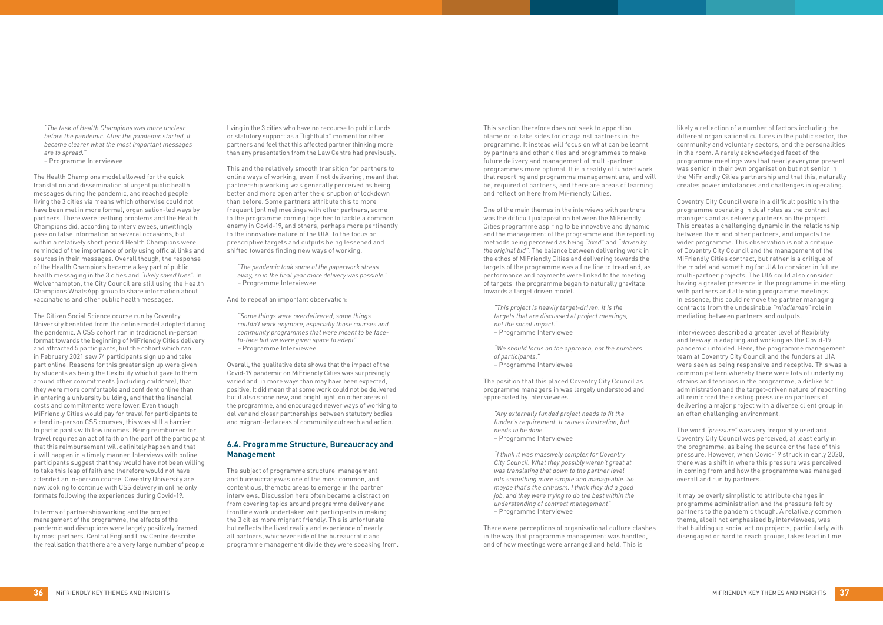*"The task of Health Champions was more unclear before the pandemic. After the pandemic started, it became clearer what the most important messages are to spread."*

*–* Programme Interviewee

The Health Champions model allowed for the quick translation and dissemination of urgent public health messages during the pandemic, and reached people living the 3 cities via means which otherwise could not have been met in more formal, organisation-led ways by partners. There were teething problems and the Health Champions did, according to interviewees, unwittingly pass on false information on several occasions, but within a relatively short period Health Champions were reminded of the importance of only using official links and sources in their messages. Overall though, the response of the Health Champions became a key part of public health messaging in the 3 cities and *"likely saved lives".* In Wolverhampton, the City Council are still using the Health Champions WhatsApp group to share information about vaccinations and other public health messages.

The Citizen Social Science course run by Coventry University benefited from the online model adopted during the pandemic. A CSS cohort ran in traditional in-person format towards the beginning of MiFriendly Cities delivery and attracted 5 participants, but the cohort which ran in February 2021 saw 74 participants sign up and take part online. Reasons for this greater sign up were given by students as being the flexibility which it gave to them around other commitments (including childcare), that they were more comfortable and confident online than in entering a university building, and that the financial costs and commitments were lower. Even though MiFriendly Cities would pay for travel for participants to attend in-person CSS courses, this was still a barrier to participants with low incomes. Being reimbursed for travel requires an act of faith on the part of the participant that this reimbursement will definitely happen and that it will happen in a timely manner. Interviews with online participants suggest that they would have not been willing to take this leap of faith and therefore would not have attended an in-person course. Coventry University are now looking to continue with CSS delivery in online only formats following the experiences during Covid-19.

In terms of partnership working and the project management of the programme, the effects of the pandemic and disruptions were largely positively framed by most partners. Central England Law Centre describe the realisation that there are a very large number of people living in the 3 cities who have no recourse to public funds or statutory support as a "lightbulb" moment for other partners and feel that this affected partner thinking more than any presentation from the Law Centre had previously.

This and the relatively smooth transition for partners to online ways of working, even if not delivering, meant that partnership working was generally perceived as being better and more open after the disruption of lockdown than before. Some partners attribute this to more frequent (online) meetings with other partners, some to the programme coming together to tackle a common enemy in Covid-19, and others, perhaps more pertinently to the innovative nature of the UIA, to the focus on prescriptive targets and outputs being lessened and shifted towards finding new ways of working.

*"The pandemic took some of the paperwork stress away, so in the final year more delivery was possible." –* Programme Interviewee

And to repeat an important observation:

*"Some things were overdelivered, some things couldn't work anymore, especially those courses and community programmes that were meant to be faceto-face but we were given space to adapt" –* Programme Interviewee

Overall, the qualitative data shows that the impact of the Covid-19 pandemic on MiFriendly Cities was surprisingly varied and, in more ways than may have been expected, positive. It did mean that some work could not be delivered but it also shone new, and bright light, on other areas of the programme, and encouraged newer ways of working to deliver and closer partnerships between statutory bodies and migrant-led areas of community outreach and action.

# **6.4. Programme Structure, Bureaucracy and Management**

The subject of programme structure, management and bureaucracy was one of the most common, and contentious, thematic areas to emerge in the partner interviews. Discussion here often became a distraction from covering topics around programme delivery and frontline work undertaken with participants in making the 3 cities more migrant friendly. This is unfortunate but reflects the lived reality and experience of nearly all partners, whichever side of the bureaucratic and programme management divide they were speaking from. This section therefore does not seek to apportion blame or to take sides for or against partners in the programme. It instead will focus on what can be learnt by partners and other cities and programmes to make future delivery and management of multi-partner programmes more optimal. It is a reality of funded work that reporting and programme management are, and will be, required of partners, and there are areas of learning and reflection here from MiFriendly Cities.

One of the main themes in the interviews with partners was the difficult juxtaposition between the MiFriendly Cities programme aspiring to be innovative and dynamic, and the management of the programme and the reporting methods being perceived as being *"fixed"* and *"driven by the original bid"*. The balance between delivering work in the ethos of MiFriendly Cities and delivering towards the targets of the programme was a fine line to tread and, as performance and payments were linked to the meeting of targets, the programme began to naturally gravitate towards a target driven model.

*"This project is heavily target-driven. It is the targets that are discussed at project meetings, not the social impact." –* Programme Interviewee

*"We should focus on the approach, not the numbers of participants."*

*–* Programme Interviewee

The position that this placed Coventry City Council as programme managers in was largely understood and appreciated by interviewees.

*"Any externally funded project needs to fit the funder's requirement. It causes frustration, but needs to be done." –* Programme Interviewee

*"I think it was massively complex for Coventry City Council. What they possibly weren't great at was translating that down to the partner level into something more simple and manageable. So maybe that's the criticism. I think they did a good job, and they were trying to do the best within the understanding of contract management"*

*–* Programme Interviewee

There were perceptions of organisational culture clashes in the way that programme management was handled, and of how meetings were arranged and held. This is

likely a reflection of a number of factors including the different organisational cultures in the public sector, the community and voluntary sectors, and the personalities in the room. A rarely acknowledged facet of the programme meetings was that nearly everyone present was senior in their own organisation but not senior in the MiFriendly Cities partnership and that this, naturally, creates power imbalances and challenges in operating.

Coventry City Council were in a difficult position in the programme operating in dual roles as the contract managers and as delivery partners on the project. This creates a challenging dynamic in the relationship between them and other partners, and impacts the wider programme. This observation is not a critique of Coventry City Council and the management of the MiFriendly Cities contract, but rather is a critique of the model and something for UIA to consider in future multi-partner projects. The UIA could also consider having a greater presence in the programme in meeting with partners and attending programme meetings. In essence, this could remove the partner managing contracts from the undesirable *"middleman"* role in mediating between partners and outputs.

Interviewees described a greater level of flexibility and leeway in adapting and working as the Covid-19 pandemic unfolded. Here, the programme management team at Coventry City Council and the funders at UIA were seen as being responsive and receptive. This was a common pattern whereby there were lots of underlying strains and tensions in the programme, a dislike for administration and the target-driven nature of reporting all reinforced the existing pressure on partners of delivering a major project with a diverse client group in an often challenging environment.

The word *"pressure"* was very frequently used and Coventry City Council was perceived, at least early in the programme, as being the source or the face of this pressure. However, when Covid-19 struck in early 2020, there was a shift in where this pressure was perceived in coming from and how the programme was managed overall and run by partners.

It may be overly simplistic to attribute changes in programme administration and the pressure felt by partners to the pandemic though. A relatively common theme, albeit not emphasised by interviewees, was that building up social action projects, particularly with disengaged or hard to reach groups, takes lead in time.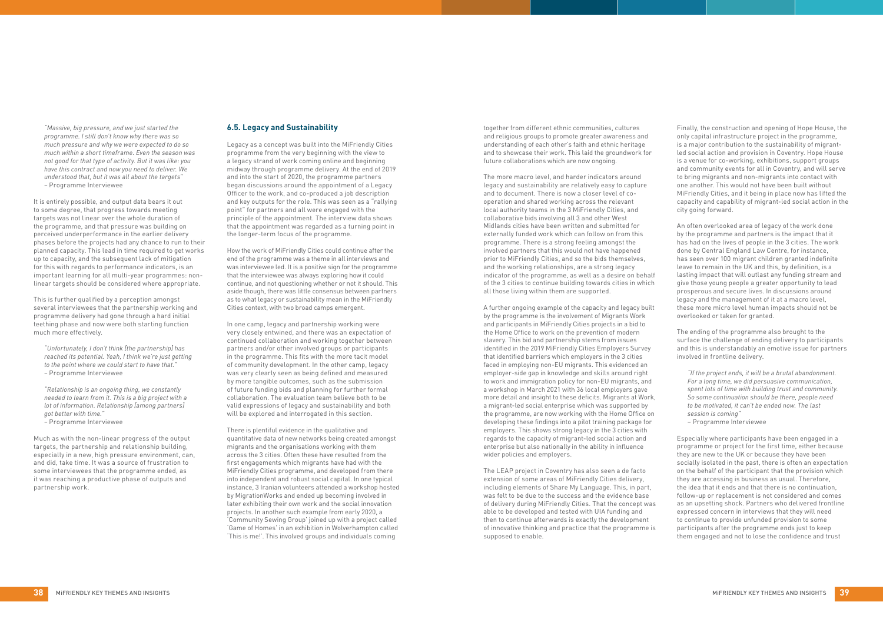*"Massive, big pressure, and we just started the programme. I still don't know why there was so much pressure and why we were expected to do so much within a short timeframe. Even the season was not good for that type of activity. But it was like: you have this contract and now you need to deliver. We understood that, but it was all about the targets" –* Programme Interviewee

It is entirely possible, and output data bears it out to some degree, that progress towards meeting targets was not linear over the whole duration of the programme, and that pressure was building on perceived underperformance in the earlier delivery phases before the projects had any chance to run to their planned capacity. This lead in time required to get works up to capacity, and the subsequent lack of mitigation for this with regards to performance indicators, is an important learning for all multi-year programmes: nonlinear targets should be considered where appropriate.

This is further qualified by a perception amongst several interviewees that the partnership working and programme delivery had gone through a hard initial teething phase and now were both starting function much more effectively.

*"Unfortunately, I don't think [the partnership] has reached its potential. Yeah, I think we're just getting to the point where we could start to have that." –* Programme Interviewee

*"Relationship is an ongoing thing, we constantly needed to learn from it. This is a big project with a lot of information. Relationship [among partners] got better with time."*

*–* Programme Interviewee

Much as with the non-linear progress of the output targets, the partnership and relationship building, especially in a new, high pressure environment, can, and did, take time. It was a source of frustration to some interviewees that the programme ended, as it was reaching a productive phase of outputs and partnership work.

### **6.5. Legacy and Sustainability**

Legacy as a concept was built into the MiFriendly Cities programme from the very beginning with the view to a legacy strand of work coming online and beginning midway through programme delivery. At the end of 2019 and into the start of 2020, the programme partners began discussions around the appointment of a Legacy Officer to the work, and co-produced a job description and key outputs for the role. This was seen as a "rallying point" for partners and all were engaged with the principle of the appointment. The interview data shows that the appointment was regarded as a turning point in the longer-term focus of the programme.

How the work of MiFriendly Cities could continue after the end of the programme was a theme in all interviews and was interviewee led. It is a positive sign for the programme that the interviewee was always exploring how it could continue, and not questioning whether or not it should. This aside though, there was little consensus between partners as to what legacy or sustainability mean in the MiFriendly Cities context, with two broad camps emergent.

In one camp, legacy and partnership working were very closely entwined, and there was an expectation of continued collaboration and working together between partners and/or other involved groups or participants in the programme. This fits with the more tacit model of community development. In the other camp, legacy was very clearly seen as being defined and measured by more tangible outcomes, such as the submission of future funding bids and planning for further formal collaboration. The evaluation team believe both to be valid expressions of legacy and sustainability and both will be explored and interrogated in this section.

There is plentiful evidence in the qualitative and quantitative data of new networks being created amongst migrants and the organisations working with them across the 3 cities. Often these have resulted from the first engagements which migrants have had with the MiFriendly Cities programme, and developed from there into independent and robust social capital. In one typical instance, 3 Iranian volunteers attended a workshop hosted by MigrationWorks and ended up becoming involved in later exhibiting their own work and the social innovation projects. In another such example from early 2020, a 'Community Sewing Group' joined up with a project called 'Game of Homes' in an exhibition in Wolverhampton called 'This is me!'. This involved groups and individuals coming

together from different ethnic communities, cultures and religious groups to promote greater awareness and understanding of each other's faith and ethnic heritage and to showcase their work. This laid the groundwork for future collaborations which are now ongoing.

The more macro level, and harder indicators around legacy and sustainability are relatively easy to capture and to document. There is now a closer level of cooperation and shared working across the relevant local authority teams in the 3 MiFriendly Cities, and collaborative bids involving all 3 and other West Midlands cities have been written and submitted for externally funded work which can follow on from this programme. There is a strong feeling amongst the involved partners that this would not have happened prior to MiFriendly Cities, and so the bids themselves, and the working relationships, are a strong legacy indicator of the programme, as well as a desire on behalf of the 3 cities to continue building towards cities in which all those living within them are supported.

A further ongoing example of the capacity and legacy built by the programme is the involvement of Migrants Work and participants in MiFriendly Cities projects in a bid to the Home Office to work on the prevention of modern slavery. This bid and partnership stems from issues identified in the 2019 MiFriendly Cities Employers Survey that identified barriers which employers in the 3 cities faced in employing non-EU migrants. This evidenced an employer-side gap in knowledge and skills around right to work and immigration policy for non-EU migrants, and a workshop in March 2021 with 36 local employers gave more detail and insight to these deficits. Migrants at Work, a migrant-led social enterprise which was supported by the programme, are now working with the Home Office on developing these findings into a pilot training package for employers. This shows strong legacy in the 3 cities with regards to the capacity of migrant-led social action and enterprise but also nationally in the ability in influence wider policies and employers.

The LEAP project in Coventry has also seen a de facto extension of some areas of MiFriendly Cities delivery, including elements of Share My Language. This, in part, was felt to be due to the success and the evidence base of delivery during MiFriendly Cities. That the concept was able to be developed and tested with UIA funding and then to continue afterwards is exactly the development of innovative thinking and practice that the programme is supposed to enable.

Finally, the construction and opening of Hope House, the only capital infrastructure project in the programme, is a major contribution to the sustainability of migrantled social action and provision in Coventry. Hope House is a venue for co-working, exhibitions, support groups and community events for all in Coventry, and will serve to bring migrants and non-migrants into contact with one another. This would not have been built without MiFriendly Cities, and it being in place now has lifted the capacity and capability of migrant-led social action in the city going forward.

An often overlooked area of legacy of the work done by the programme and partners is the impact that it has had on the lives of people in the 3 cities. The work done by Central England Law Centre, for instance, has seen over 100 migrant children granted indefinite leave to remain in the UK and this, by definition, is a lasting impact that will outlast any funding stream and give those young people a greater opportunity to lead prosperous and secure lives. In discussions around legacy and the management of it at a macro level, these more micro level human impacts should not be overlooked or taken for granted.

The ending of the programme also brought to the surface the challenge of ending delivery to participants and this is understandably an emotive issue for partners involved in frontline delivery.

*"If the project ends, it will be a brutal abandonment. For a long time, we did persuasive communication, spent lots of time with building trust and community. So some continuation should be there, people need to be motivated, it can't be ended now. The last session is coming"*

– Programme Interviewee

Especially where participants have been engaged in a programme or project for the first time, either because they are new to the UK or because they have been socially isolated in the past, there is often an expectation on the behalf of the participant that the provision which they are accessing is business as usual. Therefore, the idea that it ends and that there is no continuation, follow-up or replacement is not considered and comes as an upsetting shock. Partners who delivered frontline expressed concern in interviews that they will need to continue to provide unfunded provision to some participants after the programme ends just to keep them engaged and not to lose the confidence and trust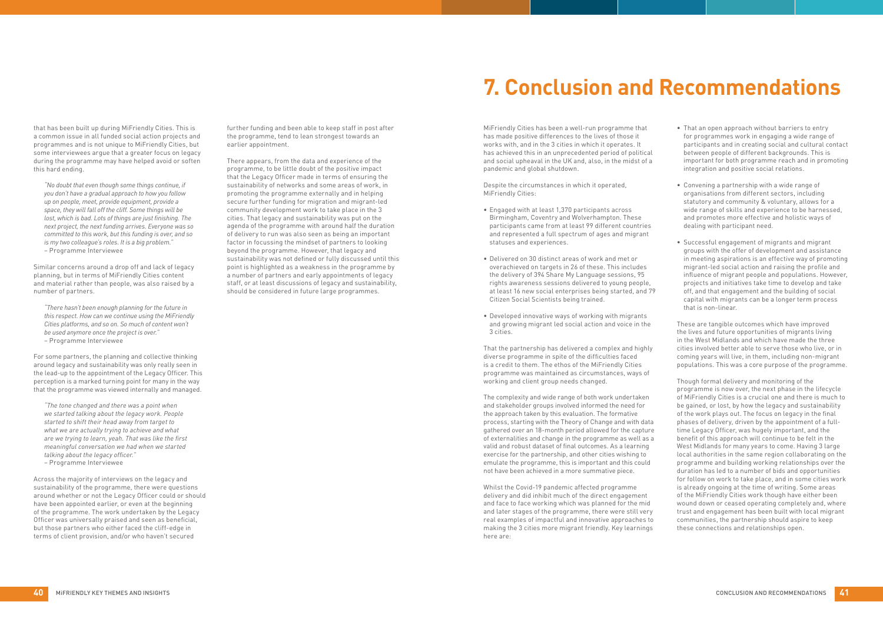that has been built up during MiFriendly Cities. This is a common issue in all funded social action projects and programmes and is not unique to MiFriendly Cities, but some interviewees argue that a greater focus on legacy during the programme may have helped avoid or soften this hard ending.

*"No doubt that even though some things continue, if you don't have a gradual approach to how you follow up on people, meet, provide equipment, provide a space, they will fall off the cliff. Some things will be lost, which is bad. Lots of things are just finishing. The next project, the next funding arrives. Everyone was so committed to this work, but this funding is over, and so is my two colleague's roles. It is a big problem."* – Programme Interviewee

Similar concerns around a drop off and lack of legacy planning, but in terms of MiFriendly Cities content and material rather than people, was also raised by a number of partners.

*"There hasn't been enough planning for the future in this respect. How can we continue using the MiFriendly Cities platforms, and so on. So much of content won't be used anymore once the project is over."* – Programme Interviewee

For some partners, the planning and collective thinking around legacy and sustainability was only really seen in the lead-up to the appointment of the Legacy Officer. This perception is a marked turning point for many in the way that the programme was viewed internally and managed.

*"The tone changed and there was a point when we started talking about the legacy work. People started to shift their head away from target to what we are actually trying to achieve and what are we trying to learn, yeah. That was like the first meaningful conversation we had when we started talking about the legacy officer."* – Programme Interviewee

Across the majority of interviews on the legacy and sustainability of the programme, there were questions around whether or not the Legacy Officer could or should have been appointed earlier, or even at the beginning of the programme. The work undertaken by the Legacy Officer was universally praised and seen as beneficial, but those partners who either faced the cliff-edge in terms of client provision, and/or who haven't secured

- Engaged with at least 1.370 participants across Birmingham, Coventry and Wolverhampton. These participants came from at least 99 different countries and represented a full spectrum of ages and migrant statuses and experiences.
- Delivered on 30 distinct areas of work and met or overachieved on targets in 26 of these. This includes the delivery of 394 Share My Language sessions, 95 rights awareness sessions delivered to young people, at least 16 new social enterprises being started, and 79 Citizen Social Scientists being trained.
- Developed innovative ways of working with migrants and growing migrant led social action and voice in the 3 cities.

further funding and been able to keep staff in post after the programme, tend to lean strongest towards an earlier appointment.

There appears, from the data and experience of the programme, to be little doubt of the positive impact that the Legacy Officer made in terms of ensuring the sustainability of networks and some areas of work, in promoting the programme externally and in helping secure further funding for migration and migrant-led community development work to take place in the 3 cities. That legacy and sustainability was put on the agenda of the programme with around half the duration of delivery to run was also seen as being an important factor in focussing the mindset of partners to looking beyond the programme. However, that legacy and sustainability was not defined or fully discussed until this point is highlighted as a weakness in the programme by a number of partners and early appointments of legacy staff, or at least discussions of legacy and sustainability, should be considered in future large programmes.

- That an open approach without barriers to entry for programmes work in engaging a wide range of participants and in creating social and cultural contact between people of different backgrounds. This is important for both programme reach and in promoting integration and positive social relations.
- Convening a partnership with a wide range of organisations from different sectors, including statutory and community & voluntary, allows for a wide range of skills and experience to be harnessed, and promotes more effective and holistic ways of dealing with participant need.
- • Successful engagement of migrants and migrant groups with the offer of development and assistance in meeting aspirations is an effective way of promoting migrant-led social action and raising the profile and influence of migrant people and populations. However, projects and initiatives take time to develop and take off, and that engagement and the building of social capital with migrants can be a longer term process that is non-linear.

MiFriendly Cities has been a well-run programme that has made positive differences to the lives of those it works with, and in the 3 cities in which it operates. It has achieved this in an unprecedented period of political and social upheaval in the UK and, also, in the midst of a pandemic and global shutdown.

Despite the circumstances in which it operated, MiFriendly Cities:

That the partnership has delivered a complex and highly diverse programme in spite of the difficulties faced is a credit to them. The ethos of the MiFriendly Cities programme was maintained as circumstances, ways of working and client group needs changed.

The complexity and wide range of both work undertaken and stakeholder groups involved informed the need for the approach taken by this evaluation. The formative process, starting with the Theory of Change and with data gathered over an 18-month period allowed for the capture of externalities and change in the programme as well as a valid and robust dataset of final outcomes. As a learning exercise for the partnership, and other cities wishing to emulate the programme, this is important and this could not have been achieved in a more summative piece.

Whilst the Covid-19 pandemic affected programme delivery and did inhibit much of the direct engagement and face to face working which was planned for the mid and later stages of the programme, there were still very real examples of impactful and innovative approaches to making the 3 cities more migrant friendly. Key learnings here are:

These are tangible outcomes which have improved the lives and future opportunities of migrants living in the West Midlands and which have made the three cities involved better able to serve those who live, or in coming years will live, in them, including non-migrant populations. This was a core purpose of the programme.

Though formal delivery and monitoring of the programme is now over, the next phase in the lifecycle of MiFriendly Cities is a crucial one and there is much to be gained, or lost, by how the legacy and sustainability of the work plays out. The focus on legacy in the final phases of delivery, driven by the appointment of a fulltime Legacy Officer, was hugely important, and the benefit of this approach will continue to be felt in the West Midlands for many years to come. Having 3 large local authorities in the same region collaborating on the programme and building working relationships over the duration has led to a number of bids and opportunities for follow on work to take place, and in some cities work is already ongoing at the time of writing. Some areas of the MiFriendly Cities work though have either been wound down or ceased operating completely and, where trust and engagement has been built with local migrant communities, the partnership should aspire to keep these connections and relationships open.

# **7. Conclusion and Recommendations**